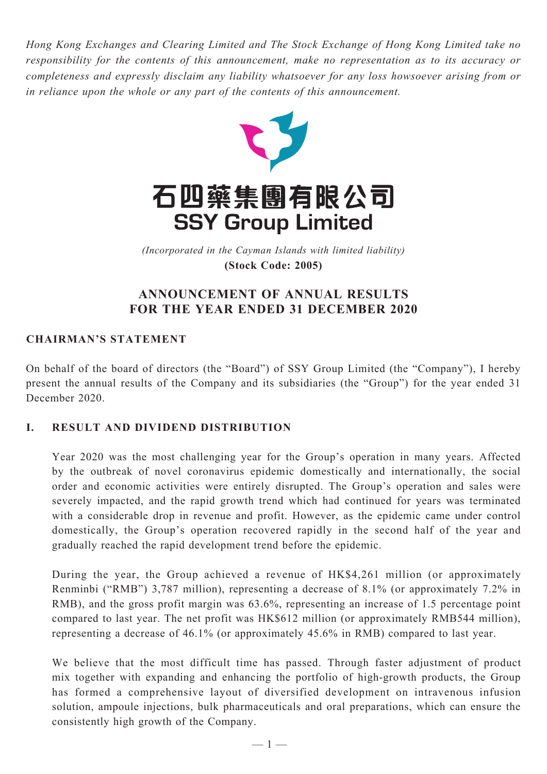*Hong Kong Exchanges and Clearing Limited and The Stock Exchange of Hong Kong Limited take no responsibility for the contents of this announcement, make no representation as to its accuracy or completeness and expressly disclaim any liability whatsoever for any loss howsoever arising from or in reliance upon the whole or any part of the contents of this announcement.*



(Incorporated in the Cayman Islands with limited liability) *(Incorporated in the Cayman Islands with limited liability)* **(Stock Code: 2005) (Stock Code: 2005)**

## **ANNOUNCEMENT OF ANNUAL RESULTS FOR THE YEAR ENDED 31 DECEMBER 2020**

## **CHAIRMAN'S STATEMENT**

On behalf of the board of directors (the "Board") of SSY Group Limited (the "Company"), I hereby present the annual results of the Company and its subsidiaries (the "Group") for the year ended 31 December 2020.

### **I. RESULT AND DIVIDEND DISTRIBUTION**

Year 2020 was the most challenging year for the Group's operation in many years. Affected by the outbreak of novel coronavirus epidemic domestically and internationally, the social order and economic activities were entirely disrupted. The Group's operation and sales were severely impacted, and the rapid growth trend which had continued for years was terminated with a considerable drop in revenue and profit. However, as the epidemic came under control domestically, the Group's operation recovered rapidly in the second half of the year and gradually reached the rapid development trend before the epidemic.

During the year, the Group achieved a revenue of HK\$4,261 million (or approximately Renminbi ("RMB") 3,787 million), representing a decrease of 8.1% (or approximately 7.2% in RMB), and the gross profit margin was 63.6%, representing an increase of 1.5 percentage point compared to last year. The net profit was HK\$612 million (or approximately RMB544 million), representing a decrease of 46.1% (or approximately 45.6% in RMB) compared to last year.

We believe that the most difficult time has passed. Through faster adjustment of product mix together with expanding and enhancing the portfolio of high-growth products, the Group has formed a comprehensive layout of diversified development on intravenous infusion solution, ampoule injections, bulk pharmaceuticals and oral preparations, which can ensure the consistently high growth of the Company.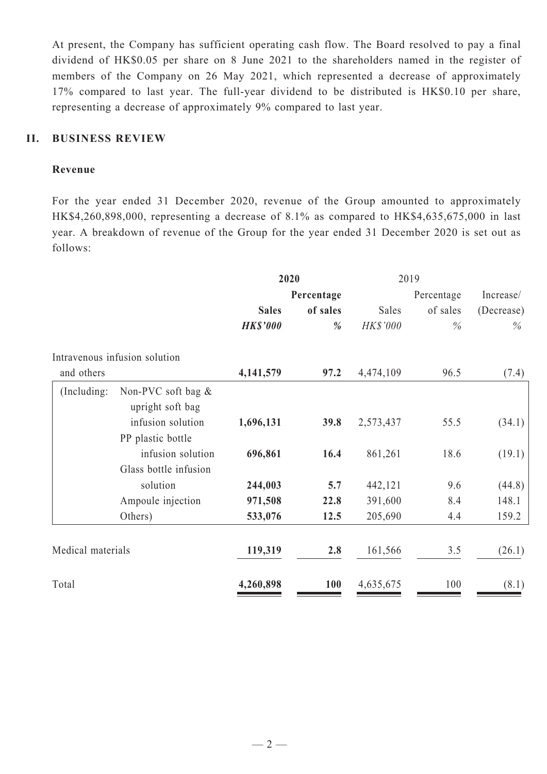At present, the Company has sufficient operating cash flow. The Board resolved to pay a final dividend of HK\$0.05 per share on 8 June 2021 to the shareholders named in the register of members of the Company on 26 May 2021, which represented a decrease of approximately 17% compared to last year. The full-year dividend to be distributed is HK\$0.10 per share, representing a decrease of approximately 9% compared to last year.

### **II. BUSINESS REVIEW**

#### **Revenue**

For the year ended 31 December 2020, revenue of the Group amounted to approximately HK\$4,260,898,000, representing a decrease of 8.1% as compared to HK\$4,635,675,000 in last year. A breakdown of revenue of the Group for the year ended 31 December 2020 is set out as follows:

|                   |                                           | 2020            |          | 2019      |            |            |
|-------------------|-------------------------------------------|-----------------|----------|-----------|------------|------------|
|                   |                                           | Percentage      |          |           | Percentage | Increase/  |
|                   |                                           | <b>Sales</b>    | of sales | Sales     | of sales   | (Decrease) |
|                   |                                           | <b>HK\$'000</b> | %        | HK\$'000  | $\%$       | $\%$       |
|                   | Intravenous infusion solution             |                 |          |           |            |            |
| and others        |                                           | 4,141,579       | 97.2     | 4,474,109 | 96.5       | (7.4)      |
| (Including:       | Non-PVC soft bag $\&$<br>upright soft bag |                 |          |           |            |            |
|                   | infusion solution                         | 1,696,131       | 39.8     | 2,573,437 | 55.5       | (34.1)     |
|                   | PP plastic bottle                         |                 |          |           |            |            |
|                   | infusion solution                         | 696,861         | 16.4     | 861,261   | 18.6       | (19.1)     |
|                   | Glass bottle infusion                     |                 |          |           |            |            |
|                   | solution                                  | 244,003         | 5.7      | 442,121   | 9.6        | (44.8)     |
|                   | Ampoule injection                         | 971,508         | 22.8     | 391,600   | 8.4        | 148.1      |
|                   | Others)                                   | 533,076         | 12.5     | 205,690   | 4.4        | 159.2      |
| Medical materials |                                           | 119,319         | 2.8      | 161,566   | 3.5        | (26.1)     |
| Total             |                                           | 4,260,898       | 100      | 4,635,675 | 100        | (8.1)      |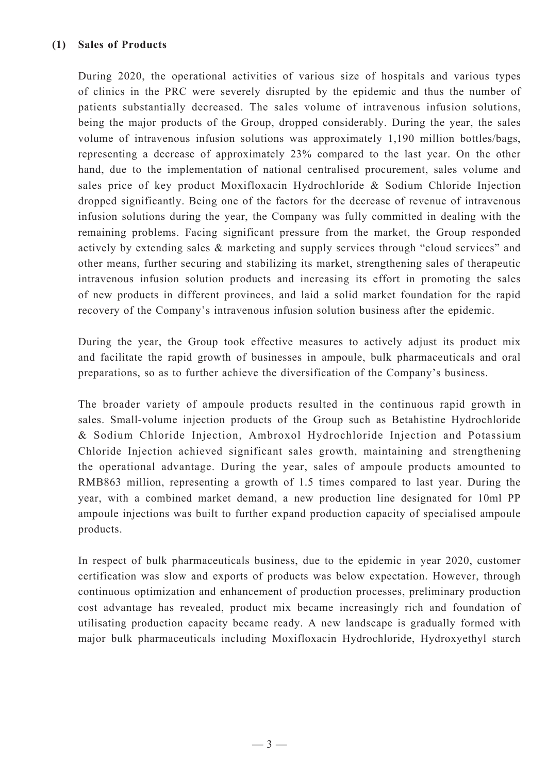During 2020, the operational activities of various size of hospitals and various types of clinics in the PRC were severely disrupted by the epidemic and thus the number of patients substantially decreased. The sales volume of intravenous infusion solutions, being the major products of the Group, dropped considerably. During the year, the sales volume of intravenous infusion solutions was approximately 1,190 million bottles/bags, representing a decrease of approximately 23% compared to the last year. On the other hand, due to the implementation of national centralised procurement, sales volume and sales price of key product Moxifloxacin Hydrochloride & Sodium Chloride Injection dropped significantly. Being one of the factors for the decrease of revenue of intravenous infusion solutions during the year, the Company was fully committed in dealing with the remaining problems. Facing significant pressure from the market, the Group responded actively by extending sales & marketing and supply services through "cloud services" and other means, further securing and stabilizing its market, strengthening sales of therapeutic intravenous infusion solution products and increasing its effort in promoting the sales of new products in different provinces, and laid a solid market foundation for the rapid recovery of the Company's intravenous infusion solution business after the epidemic.

During the year, the Group took effective measures to actively adjust its product mix and facilitate the rapid growth of businesses in ampoule, bulk pharmaceuticals and oral preparations, so as to further achieve the diversification of the Company's business.

The broader variety of ampoule products resulted in the continuous rapid growth in sales. Small-volume injection products of the Group such as Betahistine Hydrochloride & Sodium Chloride Injection, Ambroxol Hydrochloride Injection and Potassium Chloride Injection achieved significant sales growth, maintaining and strengthening the operational advantage. During the year, sales of ampoule products amounted to RMB863 million, representing a growth of 1.5 times compared to last year. During the year, with a combined market demand, a new production line designated for 10ml PP ampoule injections was built to further expand production capacity of specialised ampoule products.

In respect of bulk pharmaceuticals business, due to the epidemic in year 2020, customer certification was slow and exports of products was below expectation. However, through continuous optimization and enhancement of production processes, preliminary production cost advantage has revealed, product mix became increasingly rich and foundation of utilisating production capacity became ready. A new landscape is gradually formed with major bulk pharmaceuticals including Moxifloxacin Hydrochloride, Hydroxyethyl starch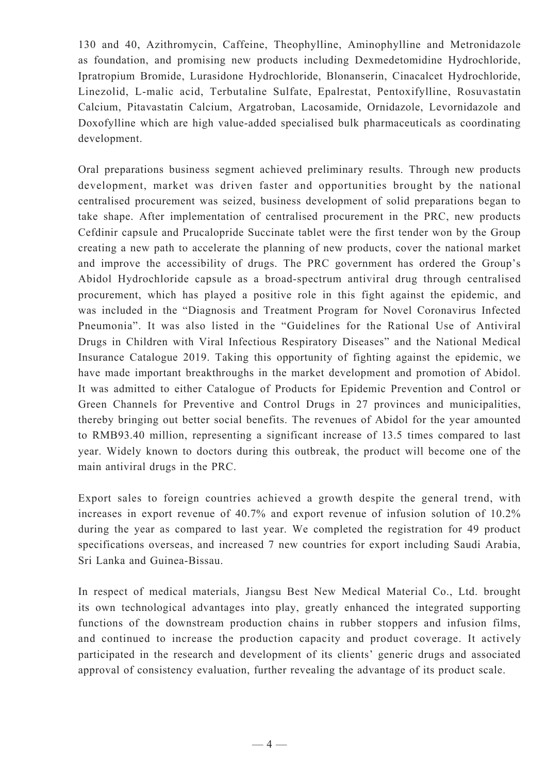130 and 40, Azithromycin, Caffeine, Theophylline, Aminophylline and Metronidazole as foundation, and promising new products including Dexmedetomidine Hydrochloride, Ipratropium Bromide, Lurasidone Hydrochloride, Blonanserin, Cinacalcet Hydrochloride, Linezolid, L-malic acid, Terbutaline Sulfate, Epalrestat, Pentoxifylline, Rosuvastatin Calcium, Pitavastatin Calcium, Argatroban, Lacosamide, Ornidazole, Levornidazole and Doxofylline which are high value-added specialised bulk pharmaceuticals as coordinating development.

Oral preparations business segment achieved preliminary results. Through new products development, market was driven faster and opportunities brought by the national centralised procurement was seized, business development of solid preparations began to take shape. After implementation of centralised procurement in the PRC, new products Cefdinir capsule and Prucalopride Succinate tablet were the first tender won by the Group creating a new path to accelerate the planning of new products, cover the national market and improve the accessibility of drugs. The PRC government has ordered the Group's Abidol Hydrochloride capsule as a broad-spectrum antiviral drug through centralised procurement, which has played a positive role in this fight against the epidemic, and was included in the "Diagnosis and Treatment Program for Novel Coronavirus Infected Pneumonia". It was also listed in the "Guidelines for the Rational Use of Antiviral Drugs in Children with Viral Infectious Respiratory Diseases" and the National Medical Insurance Catalogue 2019. Taking this opportunity of fighting against the epidemic, we have made important breakthroughs in the market development and promotion of Abidol. It was admitted to either Catalogue of Products for Epidemic Prevention and Control or Green Channels for Preventive and Control Drugs in 27 provinces and municipalities, thereby bringing out better social benefits. The revenues of Abidol for the year amounted to RMB93.40 million, representing a significant increase of 13.5 times compared to last year. Widely known to doctors during this outbreak, the product will become one of the main antiviral drugs in the PRC.

Export sales to foreign countries achieved a growth despite the general trend, with increases in export revenue of 40.7% and export revenue of infusion solution of 10.2% during the year as compared to last year. We completed the registration for 49 product specifications overseas, and increased 7 new countries for export including Saudi Arabia, Sri Lanka and Guinea-Bissau.

In respect of medical materials, Jiangsu Best New Medical Material Co., Ltd. brought its own technological advantages into play, greatly enhanced the integrated supporting functions of the downstream production chains in rubber stoppers and infusion films, and continued to increase the production capacity and product coverage. It actively participated in the research and development of its clients' generic drugs and associated approval of consistency evaluation, further revealing the advantage of its product scale.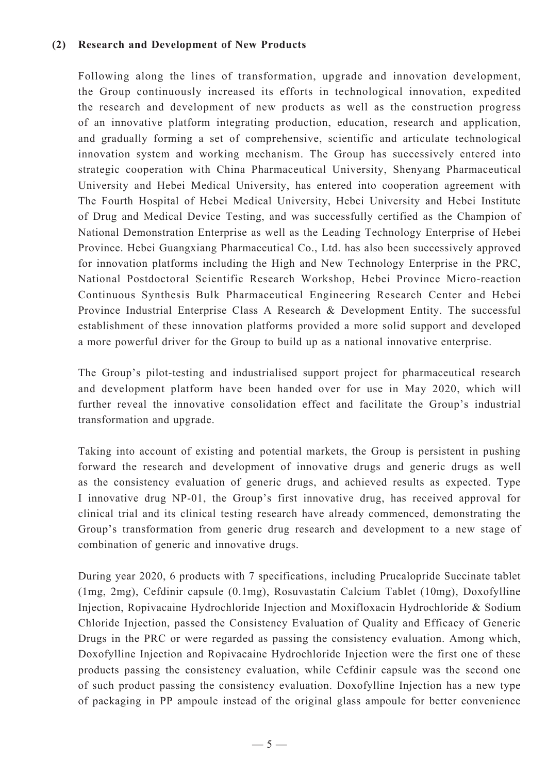#### **(2) Research and Development of New Products**

Following along the lines of transformation, upgrade and innovation development, the Group continuously increased its efforts in technological innovation, expedited the research and development of new products as well as the construction progress of an innovative platform integrating production, education, research and application, and gradually forming a set of comprehensive, scientific and articulate technological innovation system and working mechanism. The Group has successively entered into strategic cooperation with China Pharmaceutical University, Shenyang Pharmaceutical University and Hebei Medical University, has entered into cooperation agreement with The Fourth Hospital of Hebei Medical University, Hebei University and Hebei Institute of Drug and Medical Device Testing, and was successfully certified as the Champion of National Demonstration Enterprise as well as the Leading Technology Enterprise of Hebei Province. Hebei Guangxiang Pharmaceutical Co., Ltd. has also been successively approved for innovation platforms including the High and New Technology Enterprise in the PRC, National Postdoctoral Scientific Research Workshop, Hebei Province Micro-reaction Continuous Synthesis Bulk Pharmaceutical Engineering Research Center and Hebei Province Industrial Enterprise Class A Research & Development Entity. The successful establishment of these innovation platforms provided a more solid support and developed a more powerful driver for the Group to build up as a national innovative enterprise.

The Group's pilot-testing and industrialised support project for pharmaceutical research and development platform have been handed over for use in May 2020, which will further reveal the innovative consolidation effect and facilitate the Group's industrial transformation and upgrade.

Taking into account of existing and potential markets, the Group is persistent in pushing forward the research and development of innovative drugs and generic drugs as well as the consistency evaluation of generic drugs, and achieved results as expected. Type I innovative drug NP-01, the Group's first innovative drug, has received approval for clinical trial and its clinical testing research have already commenced, demonstrating the Group's transformation from generic drug research and development to a new stage of combination of generic and innovative drugs.

During year 2020, 6 products with 7 specifications, including Prucalopride Succinate tablet (1mg, 2mg), Cefdinir capsule (0.1mg), Rosuvastatin Calcium Tablet (10mg), Doxofylline Injection, Ropivacaine Hydrochloride Injection and Moxifloxacin Hydrochloride & Sodium Chloride Injection, passed the Consistency Evaluation of Quality and Efficacy of Generic Drugs in the PRC or were regarded as passing the consistency evaluation. Among which, Doxofylline Injection and Ropivacaine Hydrochloride Injection were the first one of these products passing the consistency evaluation, while Cefdinir capsule was the second one of such product passing the consistency evaluation. Doxofylline Injection has a new type of packaging in PP ampoule instead of the original glass ampoule for better convenience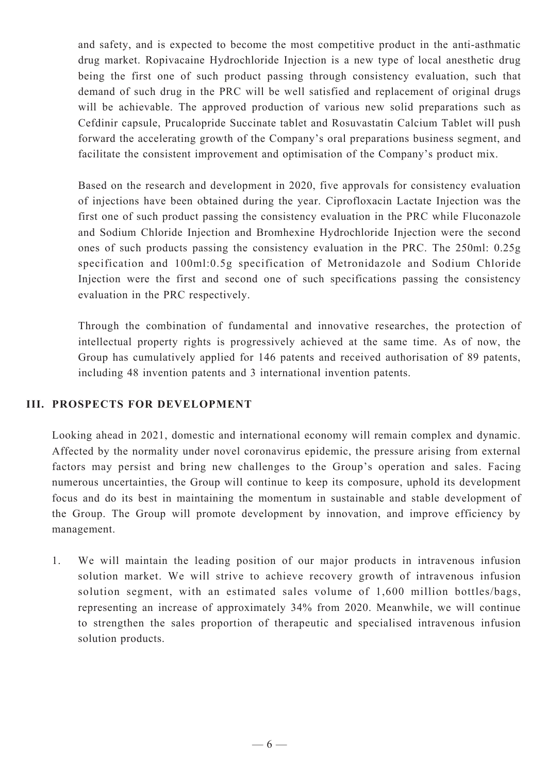and safety, and is expected to become the most competitive product in the anti-asthmatic drug market. Ropivacaine Hydrochloride Injection is a new type of local anesthetic drug being the first one of such product passing through consistency evaluation, such that demand of such drug in the PRC will be well satisfied and replacement of original drugs will be achievable. The approved production of various new solid preparations such as Cefdinir capsule, Prucalopride Succinate tablet and Rosuvastatin Calcium Tablet will push forward the accelerating growth of the Company's oral preparations business segment, and facilitate the consistent improvement and optimisation of the Company's product mix.

Based on the research and development in 2020, five approvals for consistency evaluation of injections have been obtained during the year. Ciprofloxacin Lactate Injection was the first one of such product passing the consistency evaluation in the PRC while Fluconazole and Sodium Chloride Injection and Bromhexine Hydrochloride Injection were the second ones of such products passing the consistency evaluation in the PRC. The 250ml: 0.25g specification and 100ml:0.5g specification of Metronidazole and Sodium Chloride Injection were the first and second one of such specifications passing the consistency evaluation in the PRC respectively.

Through the combination of fundamental and innovative researches, the protection of intellectual property rights is progressively achieved at the same time. As of now, the Group has cumulatively applied for 146 patents and received authorisation of 89 patents, including 48 invention patents and 3 international invention patents.

### **III. PROSPECTS FOR DEVELOPMENT**

Looking ahead in 2021, domestic and international economy will remain complex and dynamic. Affected by the normality under novel coronavirus epidemic, the pressure arising from external factors may persist and bring new challenges to the Group's operation and sales. Facing numerous uncertainties, the Group will continue to keep its composure, uphold its development focus and do its best in maintaining the momentum in sustainable and stable development of the Group. The Group will promote development by innovation, and improve efficiency by management.

1. We will maintain the leading position of our major products in intravenous infusion solution market. We will strive to achieve recovery growth of intravenous infusion solution segment, with an estimated sales volume of 1,600 million bottles/bags, representing an increase of approximately 34% from 2020. Meanwhile, we will continue to strengthen the sales proportion of therapeutic and specialised intravenous infusion solution products.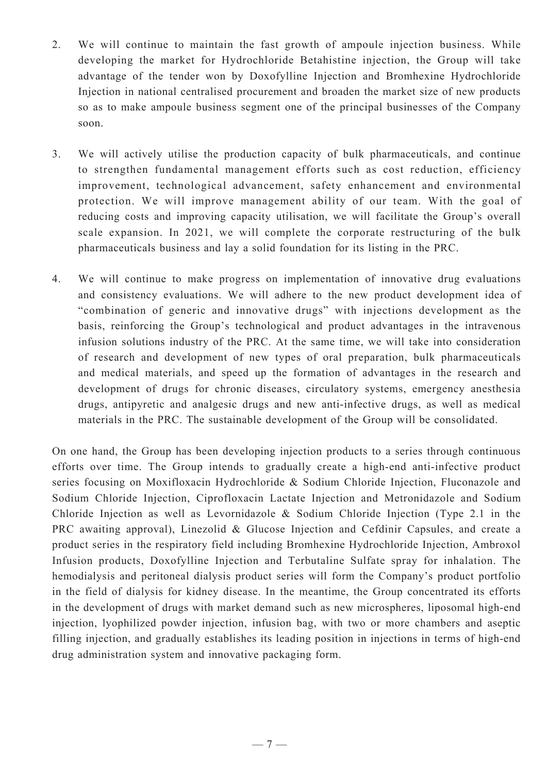- 2. We will continue to maintain the fast growth of ampoule injection business. While developing the market for Hydrochloride Betahistine injection, the Group will take advantage of the tender won by Doxofylline Injection and Bromhexine Hydrochloride Injection in national centralised procurement and broaden the market size of new products so as to make ampoule business segment one of the principal businesses of the Company soon.
- 3. We will actively utilise the production capacity of bulk pharmaceuticals, and continue to strengthen fundamental management efforts such as cost reduction, efficiency improvement, technological advancement, safety enhancement and environmental protection. We will improve management ability of our team. With the goal of reducing costs and improving capacity utilisation, we will facilitate the Group's overall scale expansion. In 2021, we will complete the corporate restructuring of the bulk pharmaceuticals business and lay a solid foundation for its listing in the PRC.
- 4. We will continue to make progress on implementation of innovative drug evaluations and consistency evaluations. We will adhere to the new product development idea of "combination of generic and innovative drugs" with injections development as the basis, reinforcing the Group's technological and product advantages in the intravenous infusion solutions industry of the PRC. At the same time, we will take into consideration of research and development of new types of oral preparation, bulk pharmaceuticals and medical materials, and speed up the formation of advantages in the research and development of drugs for chronic diseases, circulatory systems, emergency anesthesia drugs, antipyretic and analgesic drugs and new anti-infective drugs, as well as medical materials in the PRC. The sustainable development of the Group will be consolidated.

On one hand, the Group has been developing injection products to a series through continuous efforts over time. The Group intends to gradually create a high-end anti-infective product series focusing on Moxifloxacin Hydrochloride & Sodium Chloride Injection, Fluconazole and Sodium Chloride Injection, Ciprofloxacin Lactate Injection and Metronidazole and Sodium Chloride Injection as well as Levornidazole & Sodium Chloride Injection (Type 2.1 in the PRC awaiting approval), Linezolid & Glucose Injection and Cefdinir Capsules, and create a product series in the respiratory field including Bromhexine Hydrochloride Injection, Ambroxol Infusion products, Doxofylline Injection and Terbutaline Sulfate spray for inhalation. The hemodialysis and peritoneal dialysis product series will form the Company's product portfolio in the field of dialysis for kidney disease. In the meantime, the Group concentrated its efforts in the development of drugs with market demand such as new microspheres, liposomal high-end injection, lyophilized powder injection, infusion bag, with two or more chambers and aseptic filling injection, and gradually establishes its leading position in injections in terms of high-end drug administration system and innovative packaging form.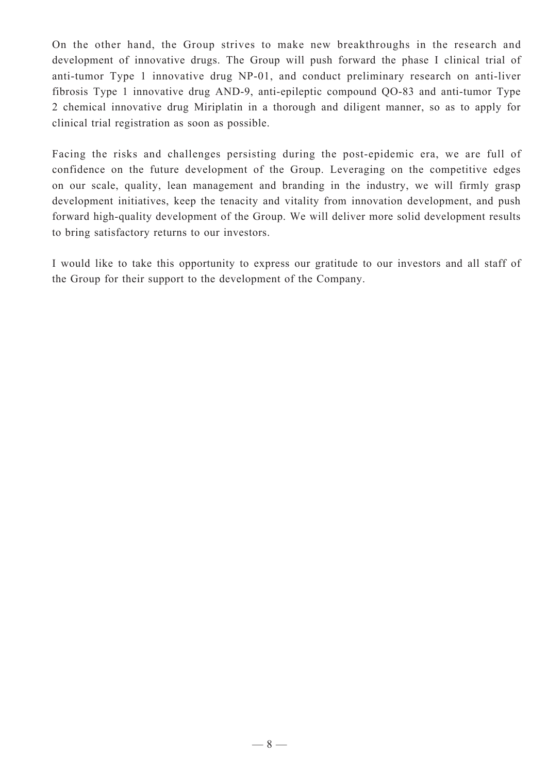On the other hand, the Group strives to make new breakthroughs in the research and development of innovative drugs. The Group will push forward the phase I clinical trial of anti-tumor Type 1 innovative drug NP-01, and conduct preliminary research on anti-liver fibrosis Type 1 innovative drug AND-9, anti-epileptic compound QO-83 and anti-tumor Type 2 chemical innovative drug Miriplatin in a thorough and diligent manner, so as to apply for clinical trial registration as soon as possible.

Facing the risks and challenges persisting during the post-epidemic era, we are full of confidence on the future development of the Group. Leveraging on the competitive edges on our scale, quality, lean management and branding in the industry, we will firmly grasp development initiatives, keep the tenacity and vitality from innovation development, and push forward high-quality development of the Group. We will deliver more solid development results to bring satisfactory returns to our investors.

I would like to take this opportunity to express our gratitude to our investors and all staff of the Group for their support to the development of the Company.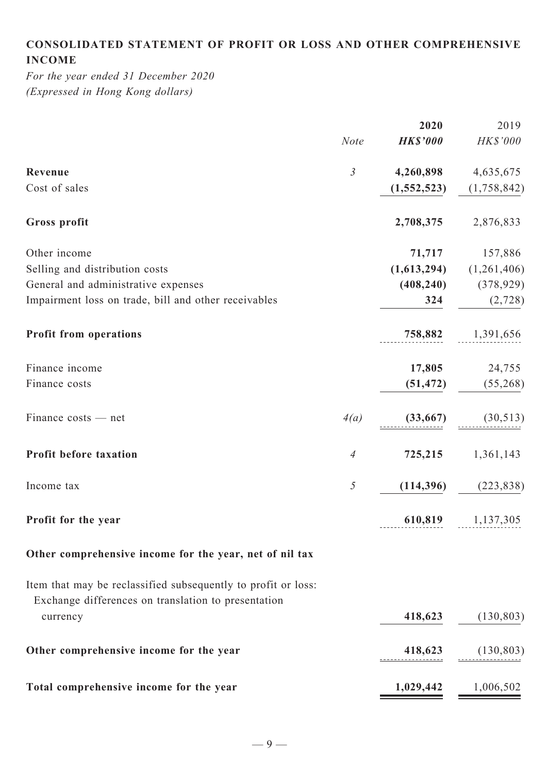# **Consolidated statement of profit or loss and other comprehensive income**

*For the year ended 31 December 2020 (Expressed in Hong Kong dollars)*

|                                                                                                                      |                | 2020            | 2019                    |
|----------------------------------------------------------------------------------------------------------------------|----------------|-----------------|-------------------------|
|                                                                                                                      | <b>Note</b>    | <b>HK\$'000</b> | HK\$'000                |
| Revenue                                                                                                              | $\mathfrak{Z}$ | 4,260,898       | 4,635,675               |
| Cost of sales                                                                                                        |                | (1, 552, 523)   | (1,758,842)             |
| Gross profit                                                                                                         |                | 2,708,375       | 2,876,833               |
| Other income                                                                                                         |                | 71,717          | 157,886                 |
| Selling and distribution costs                                                                                       |                | (1,613,294)     | (1,261,406)             |
| General and administrative expenses                                                                                  |                | (408, 240)      | (378, 929)              |
| Impairment loss on trade, bill and other receivables                                                                 |                | 324             | (2,728)                 |
| <b>Profit from operations</b>                                                                                        |                |                 | 758,882 1,391,656       |
| Finance income                                                                                                       |                | 17,805          | 24,755                  |
| Finance costs                                                                                                        |                | (51, 472)       | (55,268)                |
| Finance costs — net                                                                                                  | 4(a)           | (33, 667)       | (30, 513)               |
| Profit before taxation                                                                                               | $\overline{A}$ | 725,215         | 1,361,143               |
| Income tax                                                                                                           | 5              | (114,396)       | (223, 838)              |
| Profit for the year                                                                                                  |                |                 | 610,819 1,137,305       |
| Other comprehensive income for the year, net of nil tax                                                              |                |                 |                         |
| Item that may be reclassified subsequently to profit or loss:<br>Exchange differences on translation to presentation |                |                 |                         |
| currency                                                                                                             |                | 418,623         | (130, 803)              |
| Other comprehensive income for the year                                                                              |                | 418,623         | (130, 803)              |
| Total comprehensive income for the year                                                                              |                |                 | $1,029,442$ $1,006,502$ |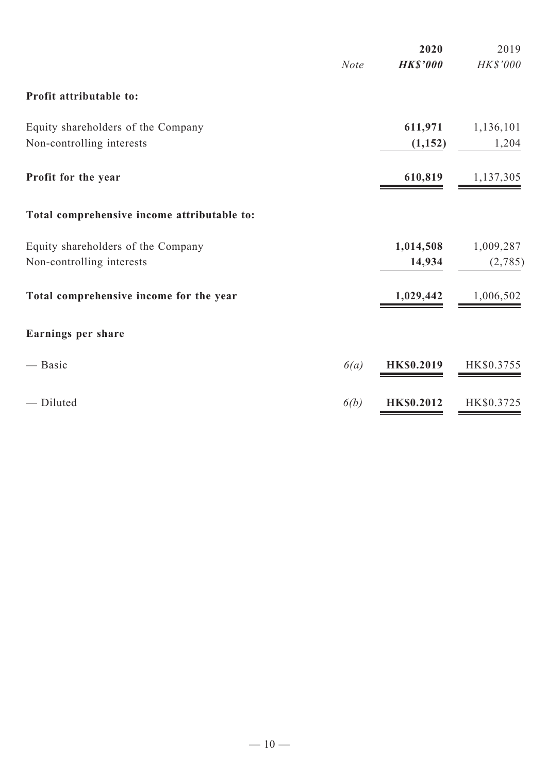|                                             | <b>Note</b> | 2020<br><b>HK\$'000</b> | 2019<br>HK\$'000 |
|---------------------------------------------|-------------|-------------------------|------------------|
| Profit attributable to:                     |             |                         |                  |
| Equity shareholders of the Company          |             | 611,971                 | 1,136,101        |
| Non-controlling interests                   |             | (1,152)                 | 1,204            |
| Profit for the year                         |             | 610,819                 | 1,137,305        |
| Total comprehensive income attributable to: |             |                         |                  |
| Equity shareholders of the Company          |             | 1,014,508               | 1,009,287        |
| Non-controlling interests                   |             | 14,934                  | (2,785)          |
| Total comprehensive income for the year     |             | 1,029,442               | 1,006,502        |
| Earnings per share                          |             |                         |                  |
| — Basic                                     | 6(a)        | <b>HK\$0.2019</b>       | HK\$0.3755       |
| - Diluted                                   | 6(b)        | <b>HK\$0.2012</b>       | HK\$0.3725       |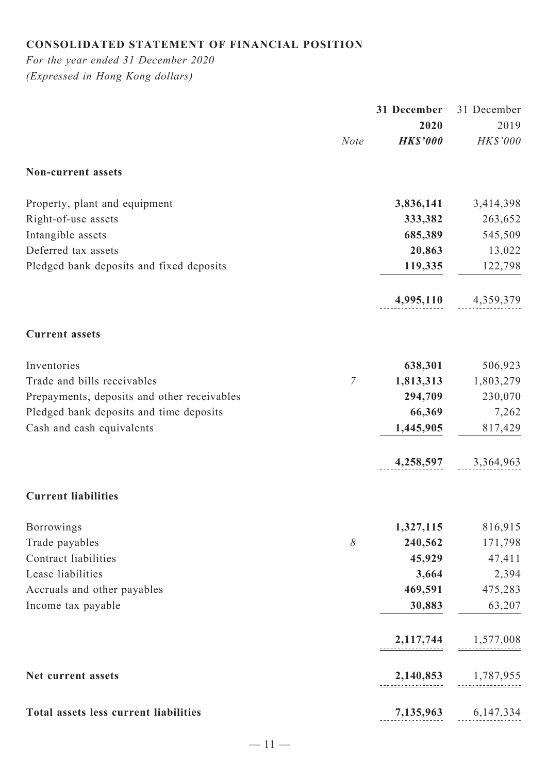# **Consolidated statement of financial position**

*For the year ended 31 December 2020 (Expressed in Hong Kong dollars)*

|                                               | 31 December     | 31 December         |
|-----------------------------------------------|-----------------|---------------------|
|                                               | 2020            | 2019                |
| <b>Note</b>                                   | <b>HK\$'000</b> | HK\$'000            |
| Non-current assets                            |                 |                     |
| Property, plant and equipment                 | 3,836,141       | 3,414,398           |
| Right-of-use assets                           | 333,382         | 263,652             |
| Intangible assets                             | 685,389         | 545,509             |
| Deferred tax assets                           | 20,863          | 13,022              |
| Pledged bank deposits and fixed deposits      | 119,335         | 122,798             |
|                                               | 4,995,110       | 4,359,379           |
| <b>Current assets</b>                         |                 |                     |
| Inventories                                   | 638,301         | 506,923             |
| $\overline{7}$<br>Trade and bills receivables | 1,813,313       | 1,803,279           |
| Prepayments, deposits and other receivables   | 294,709         | 230,070             |
| Pledged bank deposits and time deposits       | 66,369          | 7,262               |
| Cash and cash equivalents                     | 1,445,905       | 817,429             |
|                                               |                 | 4,258,597 3,364,963 |
| <b>Current liabilities</b>                    |                 |                     |
| Borrowings                                    | 1,327,115       | 816,915             |
| $\delta$<br>Trade payables                    | 240,562         | 171,798             |
| Contract liabilities                          | 45,929          | 47,411              |
| Lease liabilities                             | 3,664           | 2,394               |
| Accruals and other payables                   | 469,591         | 475,283             |
| Income tax payable                            | 30,883          | 63,207              |
|                                               | 2,117,744       | 1,577,008           |
| Net current assets                            | 2,140,853       | 1,787,955           |
| Total assets less current liabilities         |                 | 7,135,963 6,147,334 |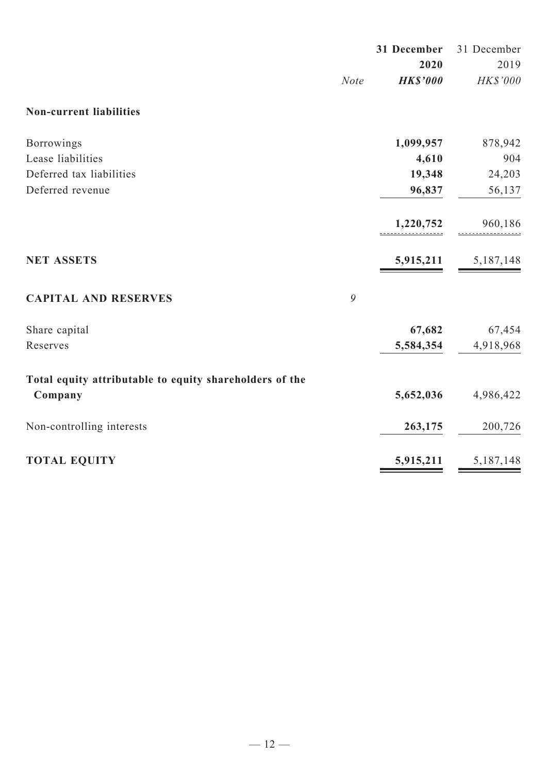|                                                         |             | 31 December     | 31 December |
|---------------------------------------------------------|-------------|-----------------|-------------|
|                                                         |             | 2020            | 2019        |
|                                                         | <b>Note</b> | <b>HK\$'000</b> | HK\$'000    |
| <b>Non-current liabilities</b>                          |             |                 |             |
| Borrowings                                              |             | 1,099,957       | 878,942     |
| Lease liabilities                                       |             | 4,610           | 904         |
| Deferred tax liabilities                                |             | 19,348          | 24,203      |
| Deferred revenue                                        |             | 96,837          | 56,137      |
|                                                         |             | 1,220,752       | 960,186     |
|                                                         |             |                 |             |
| <b>NET ASSETS</b>                                       |             | 5,915,211       | 5, 187, 148 |
| <b>CAPITAL AND RESERVES</b>                             | 9           |                 |             |
| Share capital                                           |             | 67,682          | 67,454      |
| Reserves                                                |             | 5,584,354       | 4,918,968   |
| Total equity attributable to equity shareholders of the |             |                 |             |
| Company                                                 |             | 5,652,036       | 4,986,422   |
| Non-controlling interests                               |             | 263,175         | 200,726     |
| <b>TOTAL EQUITY</b>                                     |             | 5,915,211       | 5,187,148   |
|                                                         |             |                 |             |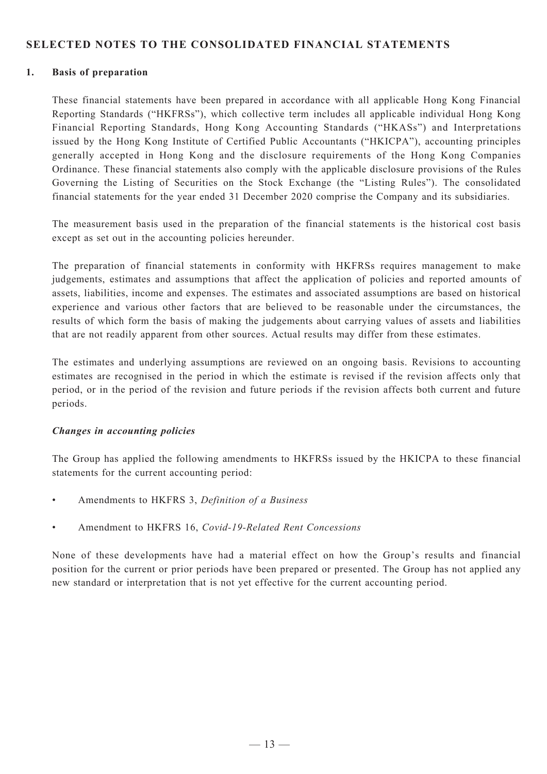#### **SELECTED NOTES TO THE CONSOLIDATED FINANCIAL STATEMENTS**

#### **1. Basis of preparation**

These financial statements have been prepared in accordance with all applicable Hong Kong Financial Reporting Standards ("HKFRSs"), which collective term includes all applicable individual Hong Kong Financial Reporting Standards, Hong Kong Accounting Standards ("HKASs") and Interpretations issued by the Hong Kong Institute of Certified Public Accountants ("HKICPA"), accounting principles generally accepted in Hong Kong and the disclosure requirements of the Hong Kong Companies Ordinance. These financial statements also comply with the applicable disclosure provisions of the Rules Governing the Listing of Securities on the Stock Exchange (the "Listing Rules"). The consolidated financial statements for the year ended 31 December 2020 comprise the Company and its subsidiaries.

The measurement basis used in the preparation of the financial statements is the historical cost basis except as set out in the accounting policies hereunder.

The preparation of financial statements in conformity with HKFRSs requires management to make judgements, estimates and assumptions that affect the application of policies and reported amounts of assets, liabilities, income and expenses. The estimates and associated assumptions are based on historical experience and various other factors that are believed to be reasonable under the circumstances, the results of which form the basis of making the judgements about carrying values of assets and liabilities that are not readily apparent from other sources. Actual results may differ from these estimates.

The estimates and underlying assumptions are reviewed on an ongoing basis. Revisions to accounting estimates are recognised in the period in which the estimate is revised if the revision affects only that period, or in the period of the revision and future periods if the revision affects both current and future periods.

#### *Changes in accounting policies*

The Group has applied the following amendments to HKFRSs issued by the HKICPA to these financial statements for the current accounting period:

- Amendments to HKFRS 3, *Definition of a Business*
- • Amendment to HKFRS 16, *Covid-19-Related Rent Concessions*

None of these developments have had a material effect on how the Group's results and financial position for the current or prior periods have been prepared or presented. The Group has not applied any new standard or interpretation that is not yet effective for the current accounting period.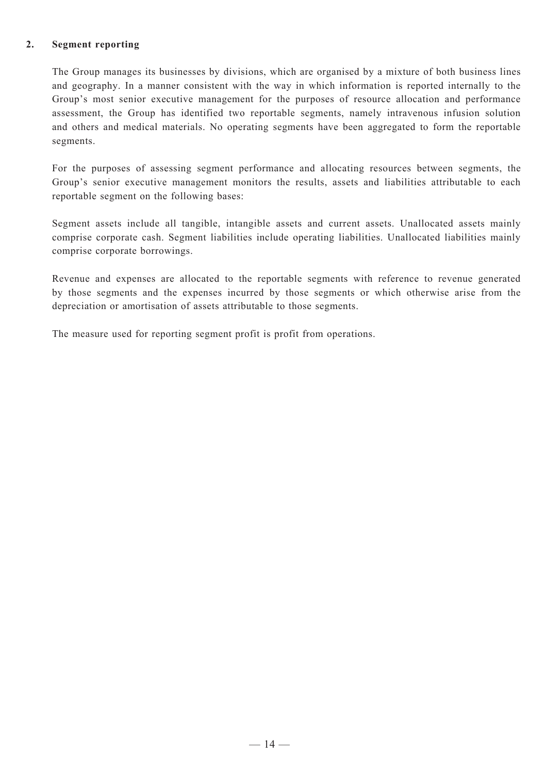#### **2. Segment reporting**

The Group manages its businesses by divisions, which are organised by a mixture of both business lines and geography. In a manner consistent with the way in which information is reported internally to the Group's most senior executive management for the purposes of resource allocation and performance assessment, the Group has identified two reportable segments, namely intravenous infusion solution and others and medical materials. No operating segments have been aggregated to form the reportable segments.

For the purposes of assessing segment performance and allocating resources between segments, the Group's senior executive management monitors the results, assets and liabilities attributable to each reportable segment on the following bases:

Segment assets include all tangible, intangible assets and current assets. Unallocated assets mainly comprise corporate cash. Segment liabilities include operating liabilities. Unallocated liabilities mainly comprise corporate borrowings.

Revenue and expenses are allocated to the reportable segments with reference to revenue generated by those segments and the expenses incurred by those segments or which otherwise arise from the depreciation or amortisation of assets attributable to those segments.

The measure used for reporting segment profit is profit from operations.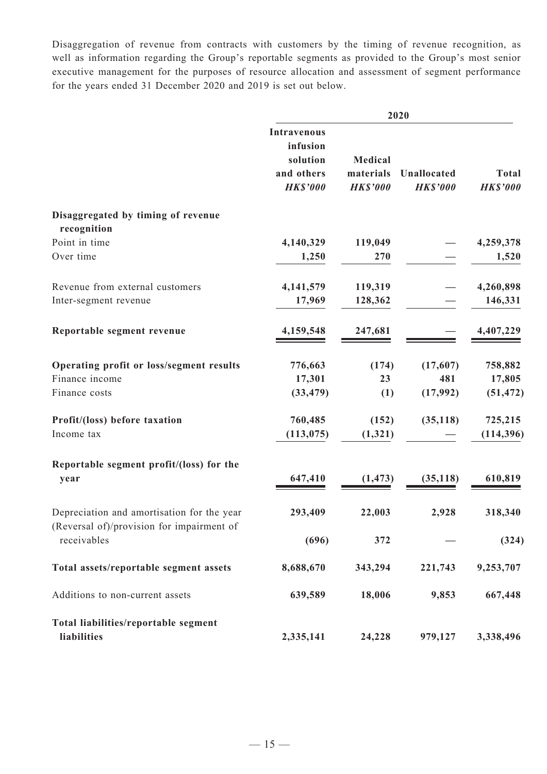Disaggregation of revenue from contracts with customers by the timing of revenue recognition, as well as information regarding the Group's reportable segments as provided to the Group's most senior executive management for the purposes of resource allocation and assessment of segment performance for the years ended 31 December 2020 and 2019 is set out below.

|                                                                                         | 2020                                                                        |                                         |                                |                                 |
|-----------------------------------------------------------------------------------------|-----------------------------------------------------------------------------|-----------------------------------------|--------------------------------|---------------------------------|
|                                                                                         | <b>Intravenous</b><br>infusion<br>solution<br>and others<br><b>HK\$'000</b> | Medical<br>materials<br><b>HK\$'000</b> | Unallocated<br><b>HK\$'000</b> | <b>Total</b><br><b>HK\$'000</b> |
| Disaggregated by timing of revenue<br>recognition                                       |                                                                             |                                         |                                |                                 |
| Point in time                                                                           | 4,140,329                                                                   | 119,049                                 |                                | 4,259,378                       |
| Over time                                                                               | 1,250                                                                       | 270                                     |                                | 1,520                           |
| Revenue from external customers                                                         | 4,141,579                                                                   | 119,319                                 |                                | 4,260,898                       |
| Inter-segment revenue                                                                   | 17,969                                                                      | 128,362                                 |                                | 146,331                         |
| Reportable segment revenue                                                              | 4,159,548                                                                   | 247,681                                 |                                | 4,407,229                       |
| Operating profit or loss/segment results                                                | 776,663                                                                     | (174)                                   | (17,607)                       | 758,882                         |
| Finance income                                                                          | 17,301                                                                      | 23                                      | 481                            | 17,805                          |
| Finance costs                                                                           | (33, 479)                                                                   | (1)                                     | (17,992)                       | (51, 472)                       |
| Profit/(loss) before taxation                                                           | 760,485                                                                     | (152)                                   | (35, 118)                      | 725,215                         |
| Income tax                                                                              | (113, 075)                                                                  | (1, 321)                                |                                | (114, 396)                      |
| Reportable segment profit/(loss) for the                                                | 647,410                                                                     |                                         | (35, 118)                      | 610,819                         |
| year                                                                                    |                                                                             | (1, 473)                                |                                |                                 |
| Depreciation and amortisation for the year<br>(Reversal of)/provision for impairment of | 293,409                                                                     | 22,003                                  | 2,928                          | 318,340                         |
| receivables                                                                             | (696)                                                                       | 372                                     |                                | (324)                           |
| Total assets/reportable segment assets                                                  | 8,688,670                                                                   | 343,294                                 | 221,743                        | 9,253,707                       |
| Additions to non-current assets                                                         | 639,589                                                                     | 18,006                                  | 9,853                          | 667,448                         |
| Total liabilities/reportable segment                                                    |                                                                             |                                         |                                |                                 |
| liabilities                                                                             | 2,335,141                                                                   | 24,228                                  | 979,127                        | 3,338,496                       |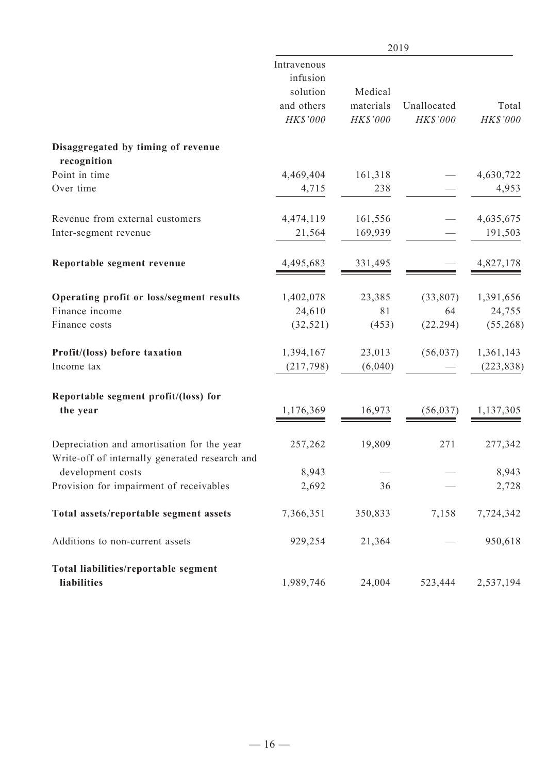|                                                                                              | 2019                                                          |                                  |                         |                         |
|----------------------------------------------------------------------------------------------|---------------------------------------------------------------|----------------------------------|-------------------------|-------------------------|
|                                                                                              | Intravenous<br>infusion<br>solution<br>and others<br>HK\$'000 | Medical<br>materials<br>HK\$'000 | Unallocated<br>HK\$'000 | Total<br>HK\$'000       |
| Disaggregated by timing of revenue<br>recognition                                            |                                                               |                                  |                         |                         |
| Point in time                                                                                | 4,469,404                                                     | 161,318                          |                         | 4,630,722               |
| Over time                                                                                    | 4,715                                                         | 238                              |                         | 4,953                   |
| Revenue from external customers                                                              | 4,474,119                                                     | 161,556                          |                         | 4,635,675               |
| Inter-segment revenue                                                                        | 21,564                                                        | 169,939                          |                         | 191,503                 |
| Reportable segment revenue                                                                   | 4,495,683                                                     | 331,495                          |                         | 4,827,178               |
| Operating profit or loss/segment results<br>Finance income                                   | 1,402,078<br>24,610                                           | 23,385<br>81                     | (33,807)<br>64          | 1,391,656<br>24,755     |
| Finance costs                                                                                | (32, 521)                                                     | (453)                            | (22, 294)               | (55,268)                |
| Profit/(loss) before taxation<br>Income tax                                                  | 1,394,167<br>(217,798)                                        | 23,013<br>(6,040)                | (56, 037)               | 1,361,143<br>(223, 838) |
| Reportable segment profit/(loss) for<br>the year                                             | 1,176,369                                                     | 16,973                           | (56, 037)               | 1,137,305               |
| Depreciation and amortisation for the year<br>Write-off of internally generated research and | 257,262                                                       | 19,809                           | 271                     | 277,342                 |
| development costs                                                                            | 8,943                                                         |                                  |                         | 8,943                   |
| Provision for impairment of receivables                                                      | 2,692                                                         | 36                               |                         | 2,728                   |
| Total assets/reportable segment assets                                                       | 7,366,351                                                     | 350,833                          | 7,158                   | 7,724,342               |
| Additions to non-current assets                                                              | 929,254                                                       | 21,364                           |                         | 950,618                 |
| Total liabilities/reportable segment<br>liabilities                                          | 1,989,746                                                     | 24,004                           | 523,444                 | 2,537,194               |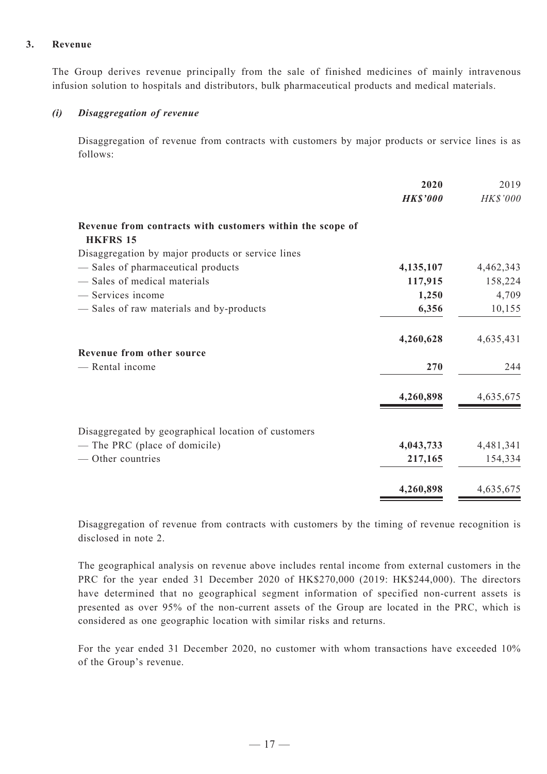#### **3. Revenue**

The Group derives revenue principally from the sale of finished medicines of mainly intravenous infusion solution to hospitals and distributors, bulk pharmaceutical products and medical materials.

#### *(i) Disaggregation of revenue*

Disaggregation of revenue from contracts with customers by major products or service lines is as follows:

|                                                                              | 2020            | 2019            |
|------------------------------------------------------------------------------|-----------------|-----------------|
|                                                                              | <b>HK\$'000</b> | <b>HK\$'000</b> |
| Revenue from contracts with customers within the scope of<br><b>HKFRS 15</b> |                 |                 |
| Disaggregation by major products or service lines                            |                 |                 |
| - Sales of pharmaceutical products                                           | 4,135,107       | 4,462,343       |
| - Sales of medical materials                                                 | 117,915         | 158,224         |
| - Services income                                                            | 1,250           | 4,709           |
| - Sales of raw materials and by-products                                     | 6,356           | 10,155          |
|                                                                              | 4,260,628       | 4,635,431       |
| Revenue from other source                                                    |                 |                 |
| - Rental income                                                              | 270             | 244             |
|                                                                              | 4,260,898       | 4,635,675       |
| Disaggregated by geographical location of customers                          |                 |                 |
| - The PRC (place of domicile)                                                | 4,043,733       | 4,481,341       |
| — Other countries                                                            | 217,165         | 154,334         |
|                                                                              | 4,260,898       | 4,635,675       |

Disaggregation of revenue from contracts with customers by the timing of revenue recognition is disclosed in note 2.

The geographical analysis on revenue above includes rental income from external customers in the PRC for the year ended 31 December 2020 of HK\$270,000 (2019: HK\$244,000). The directors have determined that no geographical segment information of specified non-current assets is presented as over 95% of the non-current assets of the Group are located in the PRC, which is considered as one geographic location with similar risks and returns.

For the year ended 31 December 2020, no customer with whom transactions have exceeded 10% of the Group's revenue.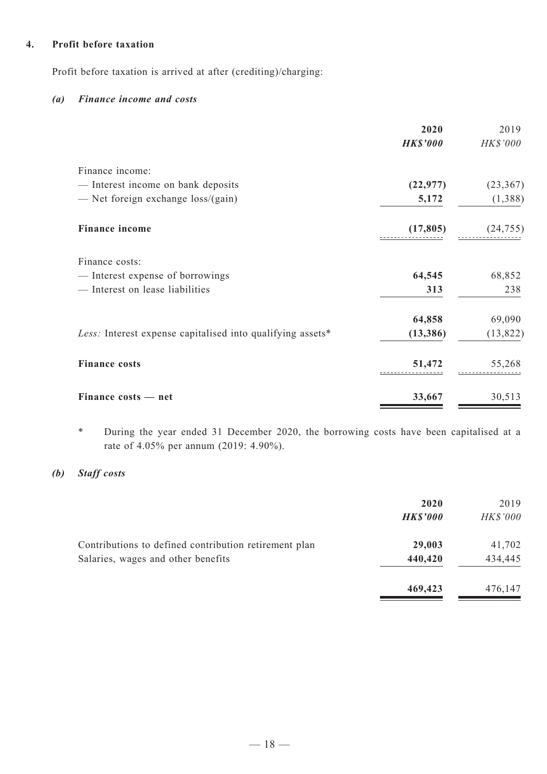#### **4. Profit before taxation**

Profit before taxation is arrived at after (crediting)/charging:

#### *(a) Finance income and costs*

|                                                            | 2020            | 2019      |
|------------------------------------------------------------|-----------------|-----------|
|                                                            | <b>HK\$'000</b> | HK\$'000  |
| Finance income:                                            |                 |           |
| - Interest income on bank deposits                         | (22, 977)       | (23, 367) |
| — Net foreign exchange $loss/(gain)$                       | 5,172           | (1,388)   |
| <b>Finance income</b>                                      | (17, 805)       | (24, 755) |
| Finance costs:                                             |                 |           |
| - Interest expense of borrowings                           | 64,545          | 68,852    |
| - Interest on lease liabilities                            | 313             | 238       |
|                                                            | 64,858          | 69,090    |
| Less: Interest expense capitalised into qualifying assets* | (13, 386)       | (13, 822) |
| <b>Finance costs</b>                                       | 51,472          | 55,268    |
| Finance costs - net                                        | 33,667          | 30,513    |

\* During the year ended 31 December 2020, the borrowing costs have been capitalised at a rate of 4.05% per annum (2019: 4.90%).

### *(b) Staff costs*

|                                                                                             | 2020<br><b>HK\$'000</b> | 2019<br><b>HK\$'000</b> |
|---------------------------------------------------------------------------------------------|-------------------------|-------------------------|
| Contributions to defined contribution retirement plan<br>Salaries, wages and other benefits | 29,003<br>440,420       | 41,702<br>434,445       |
|                                                                                             | 469,423                 | 476,147                 |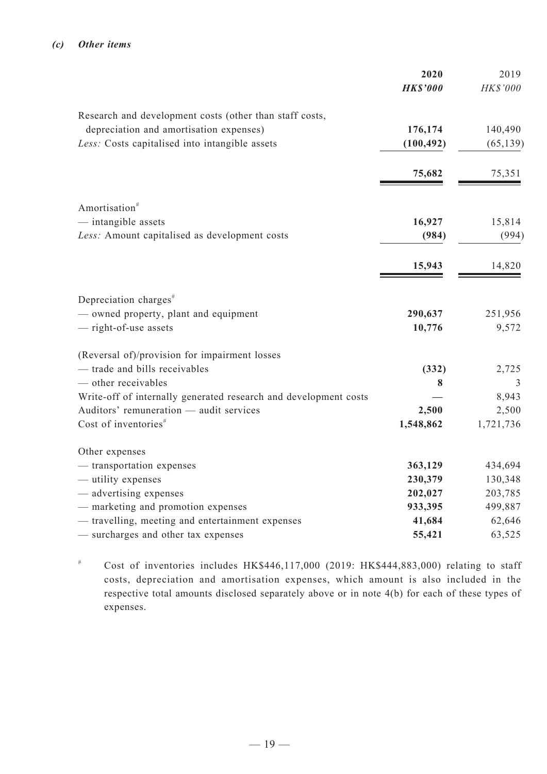|                                                                  | 2020<br><b>HK\$'000</b> | 2019<br>HK\$'000 |
|------------------------------------------------------------------|-------------------------|------------------|
| Research and development costs (other than staff costs,          |                         |                  |
| depreciation and amortisation expenses)                          | 176,174                 | 140,490          |
| Less: Costs capitalised into intangible assets                   | (100, 492)              | (65, 139)        |
|                                                                  | 75,682                  | 75,351           |
| Amortisation <sup>#</sup>                                        |                         |                  |
| — intangible assets                                              | 16,927                  | 15,814           |
| Less: Amount capitalised as development costs                    | (984)                   | (994)            |
|                                                                  | 15,943                  | 14,820           |
| Depreciation charges <sup>#</sup>                                |                         |                  |
| - owned property, plant and equipment                            | 290,637                 | 251,956          |
| - right-of-use assets                                            | 10,776                  | 9,572            |
| (Reversal of)/provision for impairment losses                    |                         |                  |
| - trade and bills receivables                                    | (332)                   | 2,725            |
| $-$ other receivables                                            | 8                       | 3                |
| Write-off of internally generated research and development costs |                         | 8,943            |
| Auditors' remuneration - audit services                          | 2,500                   | 2,500            |
| Cost of inventories <sup>#</sup>                                 | 1,548,862               | 1,721,736        |
| Other expenses                                                   |                         |                  |
| - transportation expenses                                        | 363,129                 | 434,694          |
| - utility expenses                                               | 230,379                 | 130,348          |
| - advertising expenses                                           | 202,027                 | 203,785          |
| - marketing and promotion expenses                               | 933,395                 | 499,887          |
| - travelling, meeting and entertainment expenses                 | 41,684                  | 62,646           |
| - surcharges and other tax expenses                              | 55,421                  | 63,525           |

# Cost of inventories includes HK\$446,117,000 (2019: HK\$444,883,000) relating to staff costs, depreciation and amortisation expenses, which amount is also included in the respective total amounts disclosed separately above or in note 4(b) for each of these types of expenses.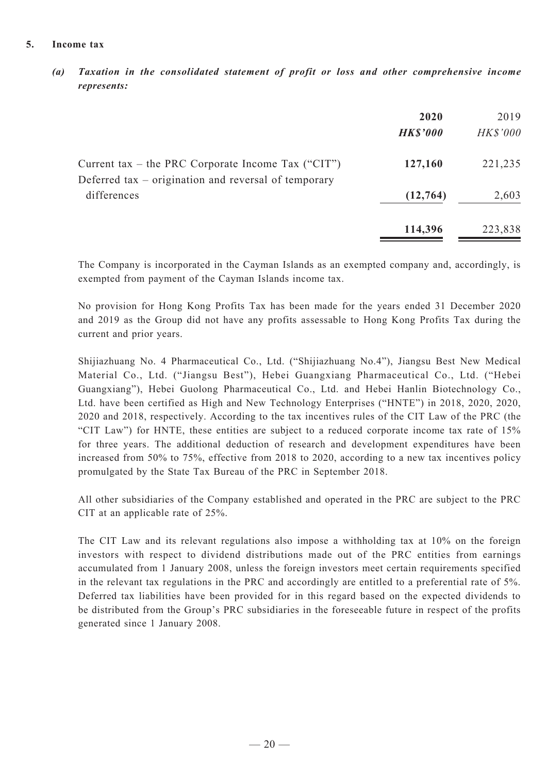#### **5. Income tax**

*(a) Taxation in the consolidated statement of profit or loss and other comprehensive income represents:*

|                                                                                                            | 2020<br><b>HK\$'000</b> | 2019<br><b>HK\$'000</b> |
|------------------------------------------------------------------------------------------------------------|-------------------------|-------------------------|
| Current tax – the PRC Corporate Income Tax ("CIT")<br>Deferred tax – origination and reversal of temporary | 127,160                 | 221,235                 |
| differences                                                                                                | (12, 764)               | 2,603                   |
|                                                                                                            | 114,396                 | 223,838                 |

The Company is incorporated in the Cayman Islands as an exempted company and, accordingly, is exempted from payment of the Cayman Islands income tax.

No provision for Hong Kong Profits Tax has been made for the years ended 31 December 2020 and 2019 as the Group did not have any profits assessable to Hong Kong Profits Tax during the current and prior years.

Shijiazhuang No. 4 Pharmaceutical Co., Ltd. ("Shijiazhuang No.4"), Jiangsu Best New Medical Material Co., Ltd. ("Jiangsu Best"), Hebei Guangxiang Pharmaceutical Co., Ltd. ("Hebei Guangxiang"), Hebei Guolong Pharmaceutical Co., Ltd. and Hebei Hanlin Biotechnology Co., Ltd. have been certified as High and New Technology Enterprises ("HNTE") in 2018, 2020, 2020, 2020 and 2018, respectively. According to the tax incentives rules of the CIT Law of the PRC (the "CIT Law") for HNTE, these entities are subject to a reduced corporate income tax rate of 15% for three years. The additional deduction of research and development expenditures have been increased from 50% to 75%, effective from 2018 to 2020, according to a new tax incentives policy promulgated by the State Tax Bureau of the PRC in September 2018.

All other subsidiaries of the Company established and operated in the PRC are subject to the PRC CIT at an applicable rate of 25%.

The CIT Law and its relevant regulations also impose a withholding tax at 10% on the foreign investors with respect to dividend distributions made out of the PRC entities from earnings accumulated from 1 January 2008, unless the foreign investors meet certain requirements specified in the relevant tax regulations in the PRC and accordingly are entitled to a preferential rate of 5%. Deferred tax liabilities have been provided for in this regard based on the expected dividends to be distributed from the Group's PRC subsidiaries in the foreseeable future in respect of the profits generated since 1 January 2008.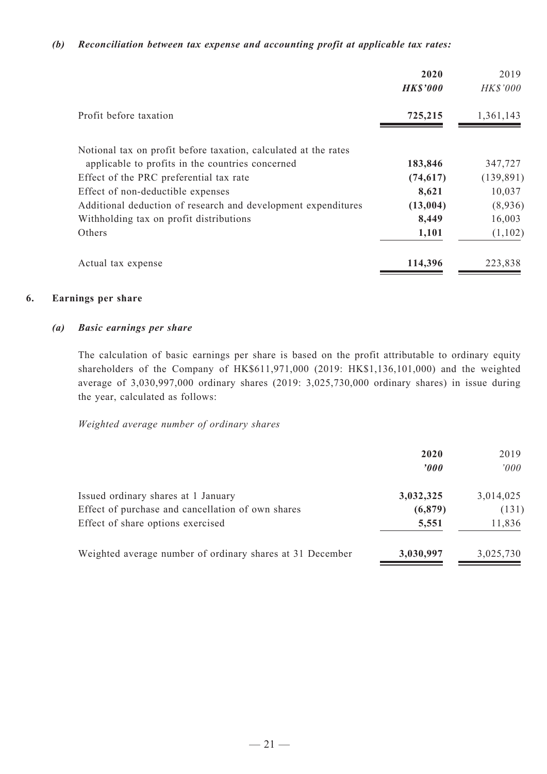#### *(b) Reconciliation between tax expense and accounting profit at applicable tax rates:*

|                                                                 | 2020<br><b>HK\$'000</b> | 2019<br>HK\$'000 |
|-----------------------------------------------------------------|-------------------------|------------------|
| Profit before taxation                                          | 725,215                 | 1,361,143        |
| Notional tax on profit before taxation, calculated at the rates |                         |                  |
| applicable to profits in the countries concerned                | 183,846                 | 347,727          |
| Effect of the PRC preferential tax rate                         | (74, 617)               | (139, 891)       |
| Effect of non-deductible expenses                               | 8,621                   | 10,037           |
| Additional deduction of research and development expenditures   | (13,004)                | (8,936)          |
| Withholding tax on profit distributions                         | 8,449                   | 16,003           |
| Others                                                          | 1,101                   | (1,102)          |
| Actual tax expense                                              | 114,396                 | 223,838          |

#### **6. Earnings per share**

#### *(a) Basic earnings per share*

The calculation of basic earnings per share is based on the profit attributable to ordinary equity shareholders of the Company of HK\$611,971,000 (2019: HK\$1,136,101,000) and the weighted average of 3,030,997,000 ordinary shares (2019: 3,025,730,000 ordinary shares) in issue during the year, calculated as follows:

#### *Weighted average number of ordinary shares*

|                                                                                          | 2020<br>$\boldsymbol{v}$ | 2019<br>000'       |
|------------------------------------------------------------------------------------------|--------------------------|--------------------|
| Issued ordinary shares at 1 January<br>Effect of purchase and cancellation of own shares | 3,032,325<br>(6, 879)    | 3,014,025<br>(131) |
| Effect of share options exercised                                                        | 5,551                    | 11,836             |
| Weighted average number of ordinary shares at 31 December                                | 3,030,997                | 3,025,730          |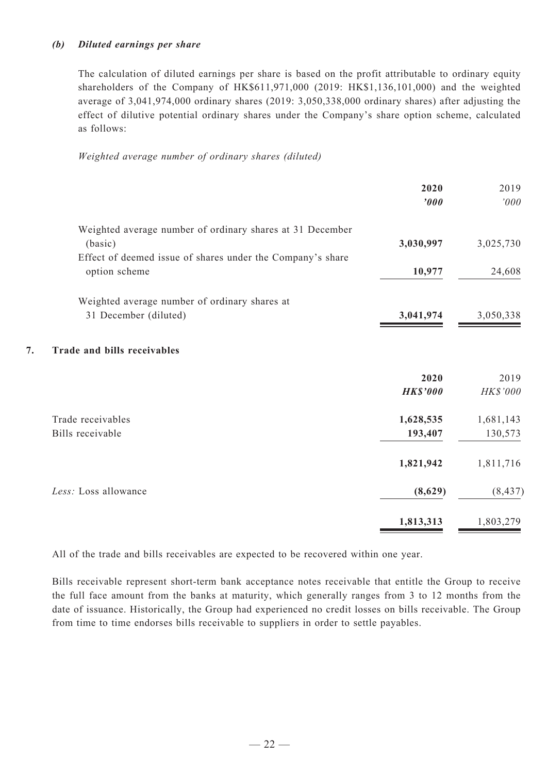#### *(b) Diluted earnings per share*

The calculation of diluted earnings per share is based on the profit attributable to ordinary equity shareholders of the Company of HK\$611,971,000 (2019: HK\$1,136,101,000) and the weighted average of 3,041,974,000 ordinary shares (2019: 3,050,338,000 ordinary shares) after adjusting the effect of dilutive potential ordinary shares under the Company's share option scheme, calculated as follows:

*Weighted average number of ordinary shares (diluted)*

|    |                                                            | 2020<br>$\boldsymbol{000}$ | 2019<br>000' |
|----|------------------------------------------------------------|----------------------------|--------------|
|    | Weighted average number of ordinary shares at 31 December  |                            |              |
|    | (basic)                                                    | 3,030,997                  | 3,025,730    |
|    | Effect of deemed issue of shares under the Company's share |                            |              |
|    | option scheme                                              | 10,977                     | 24,608       |
|    | Weighted average number of ordinary shares at              |                            |              |
|    | 31 December (diluted)                                      | 3,041,974                  | 3,050,338    |
| 7. | Trade and bills receivables                                |                            |              |
|    |                                                            | 2020                       | 2019         |
|    |                                                            | <b>HK\$'000</b>            | HK\$'000     |
|    | Trade receivables                                          | 1,628,535                  | 1,681,143    |
|    | Bills receivable                                           | 193,407                    | 130,573      |
|    |                                                            | 1,821,942                  | 1,811,716    |
|    | Less: Loss allowance                                       | (8,629)                    | (8, 437)     |
|    |                                                            | 1,813,313                  | 1,803,279    |

All of the trade and bills receivables are expected to be recovered within one year.

Bills receivable represent short-term bank acceptance notes receivable that entitle the Group to receive the full face amount from the banks at maturity, which generally ranges from 3 to 12 months from the date of issuance. Historically, the Group had experienced no credit losses on bills receivable. The Group from time to time endorses bills receivable to suppliers in order to settle payables.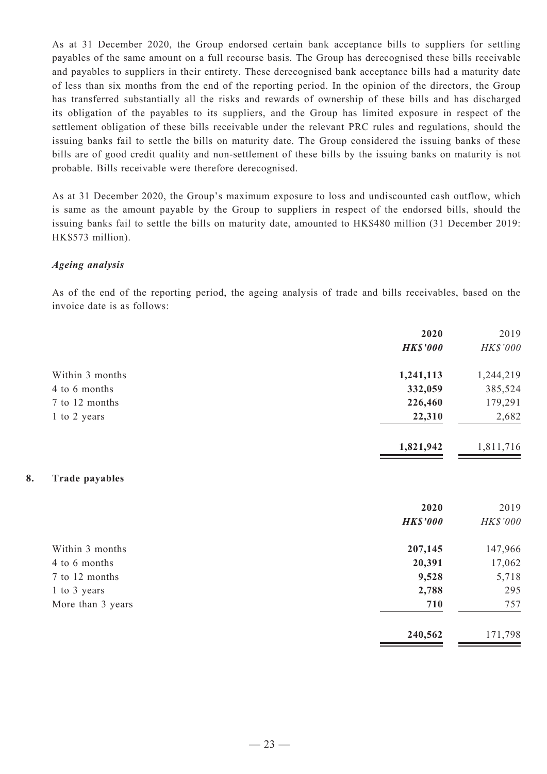As at 31 December 2020, the Group endorsed certain bank acceptance bills to suppliers for settling payables of the same amount on a full recourse basis. The Group has derecognised these bills receivable and payables to suppliers in their entirety. These derecognised bank acceptance bills had a maturity date of less than six months from the end of the reporting period. In the opinion of the directors, the Group has transferred substantially all the risks and rewards of ownership of these bills and has discharged its obligation of the payables to its suppliers, and the Group has limited exposure in respect of the settlement obligation of these bills receivable under the relevant PRC rules and regulations, should the issuing banks fail to settle the bills on maturity date. The Group considered the issuing banks of these bills are of good credit quality and non-settlement of these bills by the issuing banks on maturity is not probable. Bills receivable were therefore derecognised.

As at 31 December 2020, the Group's maximum exposure to loss and undiscounted cash outflow, which is same as the amount payable by the Group to suppliers in respect of the endorsed bills, should the issuing banks fail to settle the bills on maturity date, amounted to HK\$480 million (31 December 2019: HK\$573 million).

#### *Ageing analysis*

As of the end of the reporting period, the ageing analysis of trade and bills receivables, based on the invoice date is as follows:

| 2019      |
|-----------|
| HK\$'000  |
| 1,244,219 |
| 385,524   |
| 179,291   |
| 2,682     |
| 1,811,716 |
|           |
| 2019      |
| HK\$'000  |
| 147,966   |
| 17,062    |
| 5,718     |
| 295       |
| 757       |
| 171,798   |
|           |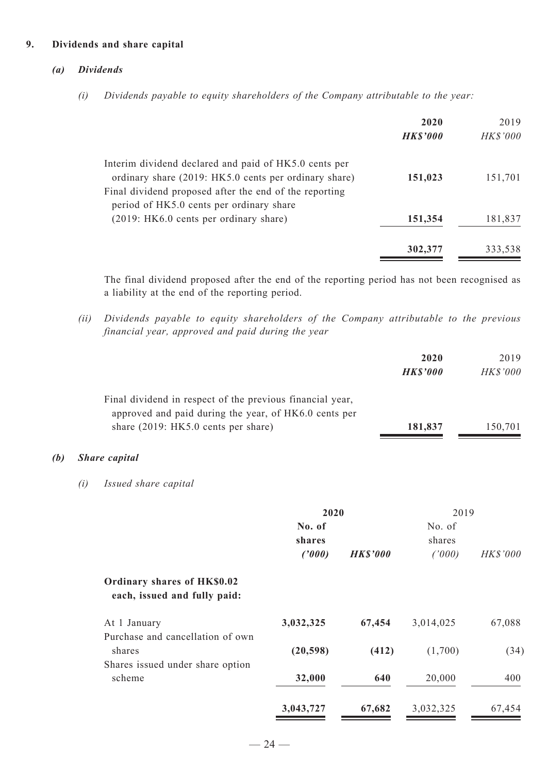#### **9. Dividends and share capital**

#### *(a) Dividends*

*(i) Dividends payable to equity shareholders of the Company attributable to the year:*

|                                                                                                                | 2020<br><b>HK\$'000</b> | 2019<br><b>HK\$'000</b> |
|----------------------------------------------------------------------------------------------------------------|-------------------------|-------------------------|
| Interim dividend declared and paid of HK5.0 cents per<br>ordinary share (2019: HK5.0 cents per ordinary share) | 151,023                 | 151,701                 |
| Final dividend proposed after the end of the reporting<br>period of HK5.0 cents per ordinary share             |                         |                         |
| (2019: HK6.0 cents per ordinary share)                                                                         | 151,354                 | 181,837                 |
|                                                                                                                | 302,377                 | 333,538                 |

The final dividend proposed after the end of the reporting period has not been recognised as a liability at the end of the reporting period.

*(ii) Dividends payable to equity shareholders of the Company attributable to the previous financial year, approved and paid during the year*

|     |     |                                                                                                                                                           |                            |                 | 2020<br><b>HK\$'000</b>    | 2019<br>HK\$'000 |
|-----|-----|-----------------------------------------------------------------------------------------------------------------------------------------------------------|----------------------------|-----------------|----------------------------|------------------|
|     |     | Final dividend in respect of the previous financial year,<br>approved and paid during the year, of HK6.0 cents per<br>share (2019: HK5.0 cents per share) |                            |                 | 181,837                    | 150,701          |
| (b) |     | <b>Share</b> capital                                                                                                                                      |                            |                 |                            |                  |
|     | (i) | Issued share capital                                                                                                                                      |                            |                 |                            |                  |
|     |     |                                                                                                                                                           | 2020                       |                 | 2019                       |                  |
|     |     |                                                                                                                                                           | No. of<br>shares<br>(2000) | <b>HK\$'000</b> | No. of<br>shares<br>(1000) | HK\$'000         |
|     |     | Ordinary shares of HK\$0.02<br>each, issued and fully paid:                                                                                               |                            |                 |                            |                  |
|     |     | At 1 January<br>Purchase and cancellation of own                                                                                                          | 3,032,325                  | 67,454          | 3,014,025                  | 67,088           |
|     |     | shares                                                                                                                                                    | (20, 598)                  | (412)           | (1,700)                    | (34)             |
|     |     | Shares issued under share option<br>scheme                                                                                                                | 32,000                     | 640             | 20,000                     | 400              |
|     |     |                                                                                                                                                           | 3,043,727                  | 67,682          | 3,032,325                  | 67,454           |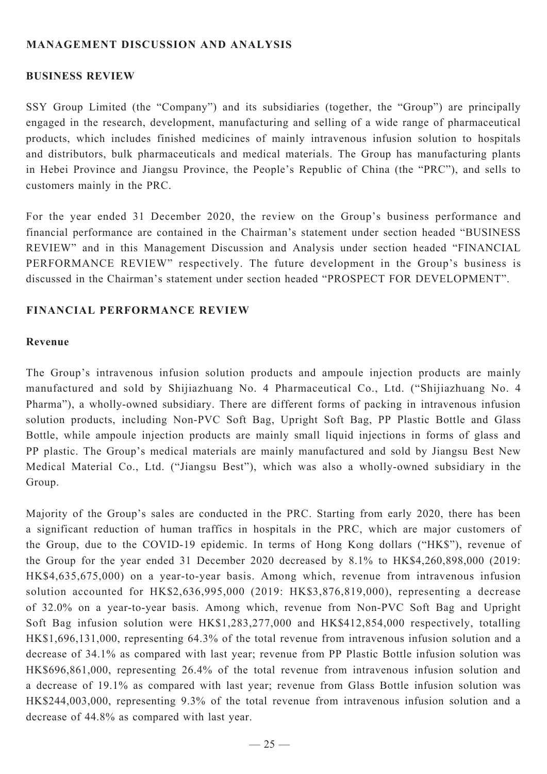### **MANAGEMENT DISCUSSION AND ANALYSIS**

#### **BUSINESS REVIEW**

SSY Group Limited (the "Company") and its subsidiaries (together, the "Group") are principally engaged in the research, development, manufacturing and selling of a wide range of pharmaceutical products, which includes finished medicines of mainly intravenous infusion solution to hospitals and distributors, bulk pharmaceuticals and medical materials. The Group has manufacturing plants in Hebei Province and Jiangsu Province, the People's Republic of China (the "PRC"), and sells to customers mainly in the PRC.

For the year ended 31 December 2020, the review on the Group's business performance and financial performance are contained in the Chairman's statement under section headed "BUSINESS REVIEW" and in this Management Discussion and Analysis under section headed "FINANCIAL PERFORMANCE REVIEW" respectively. The future development in the Group's business is discussed in the Chairman's statement under section headed "PROSPECT FOR DEVELOPMENT".

#### **Financial performance review**

#### **Revenue**

The Group's intravenous infusion solution products and ampoule injection products are mainly manufactured and sold by Shijiazhuang No. 4 Pharmaceutical Co., Ltd. ("Shijiazhuang No. 4 Pharma"), a wholly-owned subsidiary. There are different forms of packing in intravenous infusion solution products, including Non-PVC Soft Bag, Upright Soft Bag, PP Plastic Bottle and Glass Bottle, while ampoule injection products are mainly small liquid injections in forms of glass and PP plastic. The Group's medical materials are mainly manufactured and sold by Jiangsu Best New Medical Material Co., Ltd. ("Jiangsu Best"), which was also a wholly-owned subsidiary in the Group.

Majority of the Group's sales are conducted in the PRC. Starting from early 2020, there has been a significant reduction of human traffics in hospitals in the PRC, which are major customers of the Group, due to the COVID-19 epidemic. In terms of Hong Kong dollars ("HK\$"), revenue of the Group for the year ended 31 December 2020 decreased by 8.1% to HK\$4,260,898,000 (2019: HK\$4,635,675,000) on a year-to-year basis. Among which, revenue from intravenous infusion solution accounted for HK\$2,636,995,000 (2019: HK\$3,876,819,000), representing a decrease of 32.0% on a year-to-year basis. Among which, revenue from Non-PVC Soft Bag and Upright Soft Bag infusion solution were HK\$1,283,277,000 and HK\$412,854,000 respectively, totalling HK\$1,696,131,000, representing 64.3% of the total revenue from intravenous infusion solution and a decrease of 34.1% as compared with last year; revenue from PP Plastic Bottle infusion solution was HK\$696,861,000, representing 26.4% of the total revenue from intravenous infusion solution and a decrease of 19.1% as compared with last year; revenue from Glass Bottle infusion solution was HK\$244,003,000, representing 9.3% of the total revenue from intravenous infusion solution and a decrease of 44.8% as compared with last year.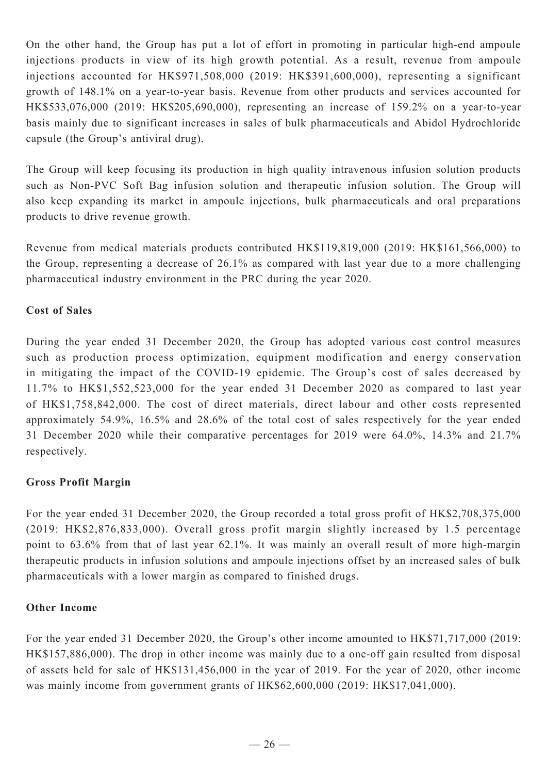On the other hand, the Group has put a lot of effort in promoting in particular high-end ampoule injections products in view of its high growth potential. As a result, revenue from ampoule injections accounted for HK\$971,508,000 (2019: HK\$391,600,000), representing a significant growth of 148.1% on a year-to-year basis. Revenue from other products and services accounted for HK\$533,076,000 (2019: HK\$205,690,000), representing an increase of 159.2% on a year-to-year basis mainly due to significant increases in sales of bulk pharmaceuticals and Abidol Hydrochloride capsule (the Group's antiviral drug).

The Group will keep focusing its production in high quality intravenous infusion solution products such as Non-PVC Soft Bag infusion solution and therapeutic infusion solution. The Group will also keep expanding its market in ampoule injections, bulk pharmaceuticals and oral preparations products to drive revenue growth.

Revenue from medical materials products contributed HK\$119,819,000 (2019: HK\$161,566,000) to the Group, representing a decrease of 26.1% as compared with last year due to a more challenging pharmaceutical industry environment in the PRC during the year 2020.

### **Cost of Sales**

During the year ended 31 December 2020, the Group has adopted various cost control measures such as production process optimization, equipment modification and energy conservation in mitigating the impact of the COVID-19 epidemic. The Group's cost of sales decreased by 11.7% to HK\$1,552,523,000 for the year ended 31 December 2020 as compared to last year of HK\$1,758,842,000. The cost of direct materials, direct labour and other costs represented approximately 54.9%, 16.5% and 28.6% of the total cost of sales respectively for the year ended 31 December 2020 while their comparative percentages for 2019 were 64.0%, 14.3% and 21.7% respectively.

### **Gross Profit Margin**

For the year ended 31 December 2020, the Group recorded a total gross profit of HK\$2,708,375,000 (2019: HK\$2,876,833,000). Overall gross profit margin slightly increased by 1.5 percentage point to 63.6% from that of last year 62.1%. It was mainly an overall result of more high-margin therapeutic products in infusion solutions and ampoule injections offset by an increased sales of bulk pharmaceuticals with a lower margin as compared to finished drugs.

#### **Other Income**

For the year ended 31 December 2020, the Group's other income amounted to HK\$71,717,000 (2019: HK\$157,886,000). The drop in other income was mainly due to a one-off gain resulted from disposal of assets held for sale of HK\$131,456,000 in the year of 2019. For the year of 2020, other income was mainly income from government grants of HK\$62,600,000 (2019: HK\$17,041,000).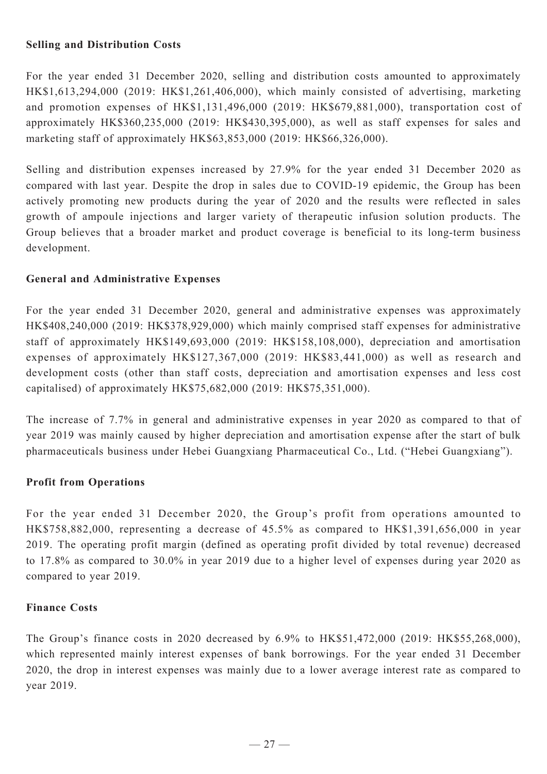### **Selling and Distribution Costs**

For the year ended 31 December 2020, selling and distribution costs amounted to approximately HK\$1,613,294,000 (2019: HK\$1,261,406,000), which mainly consisted of advertising, marketing and promotion expenses of HK\$1,131,496,000 (2019: HK\$679,881,000), transportation cost of approximately HK\$360,235,000 (2019: HK\$430,395,000), as well as staff expenses for sales and marketing staff of approximately HK\$63,853,000 (2019: HK\$66,326,000).

Selling and distribution expenses increased by 27.9% for the year ended 31 December 2020 as compared with last year. Despite the drop in sales due to COVID-19 epidemic, the Group has been actively promoting new products during the year of 2020 and the results were reflected in sales growth of ampoule injections and larger variety of therapeutic infusion solution products. The Group believes that a broader market and product coverage is beneficial to its long-term business development.

#### **General and Administrative Expenses**

For the year ended 31 December 2020, general and administrative expenses was approximately HK\$408,240,000 (2019: HK\$378,929,000) which mainly comprised staff expenses for administrative staff of approximately HK\$149,693,000 (2019: HK\$158,108,000), depreciation and amortisation expenses of approximately HK\$127,367,000 (2019: HK\$83,441,000) as well as research and development costs (other than staff costs, depreciation and amortisation expenses and less cost capitalised) of approximately HK\$75,682,000 (2019: HK\$75,351,000).

The increase of 7.7% in general and administrative expenses in year 2020 as compared to that of year 2019 was mainly caused by higher depreciation and amortisation expense after the start of bulk pharmaceuticals business under Hebei Guangxiang Pharmaceutical Co., Ltd. ("Hebei Guangxiang").

#### **Profit from Operations**

For the year ended 31 December 2020, the Group's profit from operations amounted to HK\$758,882,000, representing a decrease of 45.5% as compared to HK\$1,391,656,000 in year 2019. The operating profit margin (defined as operating profit divided by total revenue) decreased to 17.8% as compared to 30.0% in year 2019 due to a higher level of expenses during year 2020 as compared to year 2019.

#### **Finance Costs**

The Group's finance costs in 2020 decreased by 6.9% to HK\$51,472,000 (2019: HK\$55,268,000), which represented mainly interest expenses of bank borrowings. For the year ended 31 December 2020, the drop in interest expenses was mainly due to a lower average interest rate as compared to year 2019.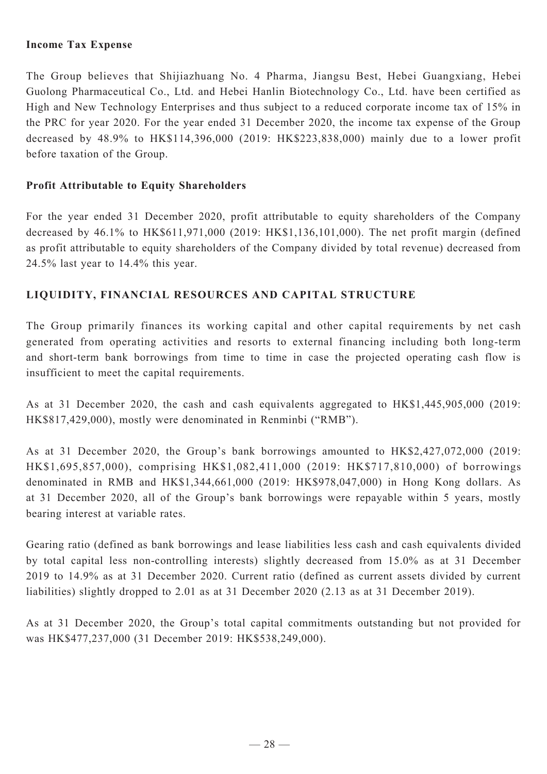### **Income Tax Expense**

The Group believes that Shijiazhuang No. 4 Pharma, Jiangsu Best, Hebei Guangxiang, Hebei Guolong Pharmaceutical Co., Ltd. and Hebei Hanlin Biotechnology Co., Ltd. have been certified as High and New Technology Enterprises and thus subject to a reduced corporate income tax of 15% in the PRC for year 2020. For the year ended 31 December 2020, the income tax expense of the Group decreased by 48.9% to HK\$114,396,000 (2019: HK\$223,838,000) mainly due to a lower profit before taxation of the Group.

### **Profit Attributable to Equity Shareholders**

For the year ended 31 December 2020, profit attributable to equity shareholders of the Company decreased by 46.1% to HK\$611,971,000 (2019: HK\$1,136,101,000). The net profit margin (defined as profit attributable to equity shareholders of the Company divided by total revenue) decreased from 24.5% last year to 14.4% this year.

### **LIQUIDITY, FINANCIAL RESOURCES and capital structure**

The Group primarily finances its working capital and other capital requirements by net cash generated from operating activities and resorts to external financing including both long-term and short-term bank borrowings from time to time in case the projected operating cash flow is insufficient to meet the capital requirements.

As at 31 December 2020, the cash and cash equivalents aggregated to HK\$1,445,905,000 (2019: HK\$817,429,000), mostly were denominated in Renminbi ("RMB").

As at 31 December 2020, the Group's bank borrowings amounted to HK\$2,427,072,000 (2019: HK\$1,695,857,000), comprising HK\$1,082,411,000 (2019: HK\$717,810,000) of borrowings denominated in RMB and HK\$1,344,661,000 (2019: HK\$978,047,000) in Hong Kong dollars. As at 31 December 2020, all of the Group's bank borrowings were repayable within 5 years, mostly bearing interest at variable rates.

Gearing ratio (defined as bank borrowings and lease liabilities less cash and cash equivalents divided by total capital less non-controlling interests) slightly decreased from 15.0% as at 31 December 2019 to 14.9% as at 31 December 2020. Current ratio (defined as current assets divided by current liabilities) slightly dropped to 2.01 as at 31 December 2020 (2.13 as at 31 December 2019).

As at 31 December 2020, the Group's total capital commitments outstanding but not provided for was HK\$477,237,000 (31 December 2019: HK\$538,249,000).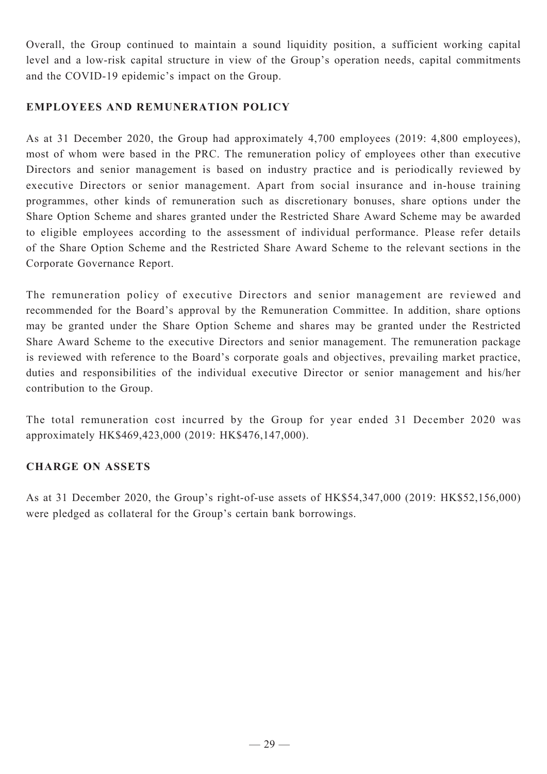Overall, the Group continued to maintain a sound liquidity position, a sufficient working capital level and a low-risk capital structure in view of the Group's operation needs, capital commitments and the COVID-19 epidemic's impact on the Group.

### **EMPLOYEES AND REMUNERATION POLICY**

As at 31 December 2020, the Group had approximately 4,700 employees (2019: 4,800 employees), most of whom were based in the PRC. The remuneration policy of employees other than executive Directors and senior management is based on industry practice and is periodically reviewed by executive Directors or senior management. Apart from social insurance and in-house training programmes, other kinds of remuneration such as discretionary bonuses, share options under the Share Option Scheme and shares granted under the Restricted Share Award Scheme may be awarded to eligible employees according to the assessment of individual performance. Please refer details of the Share Option Scheme and the Restricted Share Award Scheme to the relevant sections in the Corporate Governance Report.

The remuneration policy of executive Directors and senior management are reviewed and recommended for the Board's approval by the Remuneration Committee. In addition, share options may be granted under the Share Option Scheme and shares may be granted under the Restricted Share Award Scheme to the executive Directors and senior management. The remuneration package is reviewed with reference to the Board's corporate goals and objectives, prevailing market practice, duties and responsibilities of the individual executive Director or senior management and his/her contribution to the Group.

The total remuneration cost incurred by the Group for year ended 31 December 2020 was approximately HK\$469,423,000 (2019: HK\$476,147,000).

#### **Charge on ASSETS**

As at 31 December 2020, the Group's right-of-use assets of HK\$54,347,000 (2019: HK\$52,156,000) were pledged as collateral for the Group's certain bank borrowings.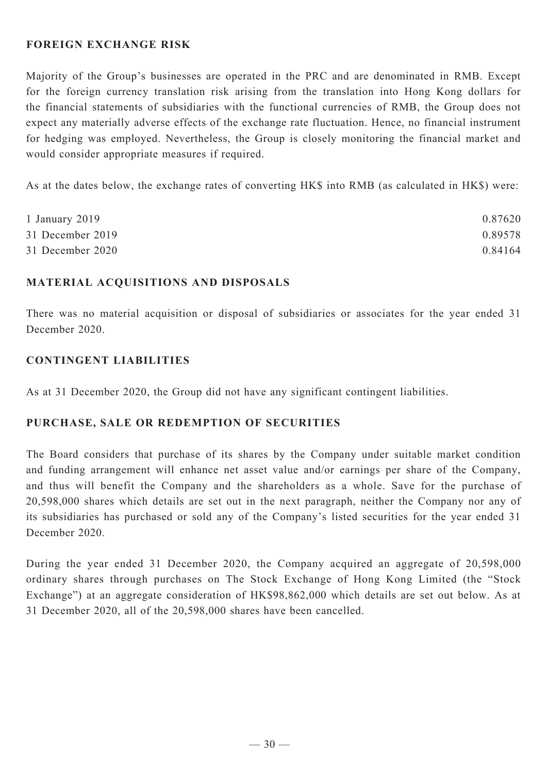### **FOREIGN EXCHANGE RISK**

Majority of the Group's businesses are operated in the PRC and are denominated in RMB. Except for the foreign currency translation risk arising from the translation into Hong Kong dollars for the financial statements of subsidiaries with the functional currencies of RMB, the Group does not expect any materially adverse effects of the exchange rate fluctuation. Hence, no financial instrument for hedging was employed. Nevertheless, the Group is closely monitoring the financial market and would consider appropriate measures if required.

As at the dates below, the exchange rates of converting HK\$ into RMB (as calculated in HK\$) were:

| 1 January 2019   | 0.87620 |
|------------------|---------|
| 31 December 2019 | 0.89578 |
| 31 December 2020 | 0.84164 |

#### **Material acquisitions and disposals**

There was no material acquisition or disposal of subsidiaries or associates for the year ended 31 December 2020.

### **CONTINGENT LIABILITIES**

As at 31 December 2020, the Group did not have any significant contingent liabilities.

#### **PURCHASE, SALE OR REDEMPTION OF SECURITIES**

The Board considers that purchase of its shares by the Company under suitable market condition and funding arrangement will enhance net asset value and/or earnings per share of the Company, and thus will benefit the Company and the shareholders as a whole. Save for the purchase of 20,598,000 shares which details are set out in the next paragraph, neither the Company nor any of its subsidiaries has purchased or sold any of the Company's listed securities for the year ended 31 December 2020.

During the year ended 31 December 2020, the Company acquired an aggregate of 20,598,000 ordinary shares through purchases on The Stock Exchange of Hong Kong Limited (the "Stock Exchange") at an aggregate consideration of HK\$98,862,000 which details are set out below. As at 31 December 2020, all of the 20,598,000 shares have been cancelled.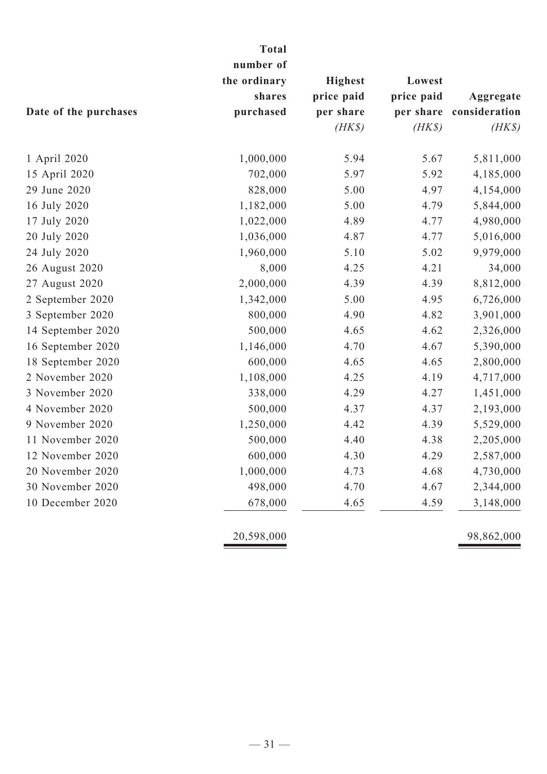|                       | <b>Total</b>              |                |            |               |  |
|-----------------------|---------------------------|----------------|------------|---------------|--|
|                       | number of<br>the ordinary | <b>Highest</b> | Lowest     |               |  |
|                       | shares                    | price paid     | price paid | Aggregate     |  |
| Date of the purchases | purchased                 | per share      | per share  | consideration |  |
|                       |                           | $(HK\$         | $(HK\$     | $(HK\$        |  |
| 1 April 2020          | 1,000,000                 | 5.94           | 5.67       | 5,811,000     |  |
| 15 April 2020         | 702,000                   | 5.97           | 5.92       | 4,185,000     |  |
| 29 June 2020          | 828,000                   | 5.00           | 4.97       | 4,154,000     |  |
| 16 July 2020          | 1,182,000                 | 5.00           | 4.79       | 5,844,000     |  |
| 17 July 2020          | 1,022,000                 | 4.89           | 4.77       | 4,980,000     |  |
| 20 July 2020          | 1,036,000                 | 4.87           | 4.77       | 5,016,000     |  |
| 24 July 2020          | 1,960,000                 | 5.10           | 5.02       | 9,979,000     |  |
| 26 August 2020        | 8,000                     | 4.25           | 4.21       | 34,000        |  |
| 27 August 2020        | 2,000,000                 | 4.39           | 4.39       | 8,812,000     |  |
| 2 September 2020      | 1,342,000                 | 5.00           | 4.95       | 6,726,000     |  |
| 3 September 2020      | 800,000                   | 4.90           | 4.82       | 3,901,000     |  |
| 14 September 2020     | 500,000                   | 4.65           | 4.62       | 2,326,000     |  |
| 16 September 2020     | 1,146,000                 | 4.70           | 4.67       | 5,390,000     |  |
| 18 September 2020     | 600,000                   | 4.65           | 4.65       | 2,800,000     |  |
| 2 November 2020       | 1,108,000                 | 4.25           | 4.19       | 4,717,000     |  |
| 3 November 2020       | 338,000                   | 4.29           | 4.27       | 1,451,000     |  |
| 4 November 2020       | 500,000                   | 4.37           | 4.37       | 2,193,000     |  |
| 9 November 2020       | 1,250,000                 | 4.42           | 4.39       | 5,529,000     |  |
| 11 November 2020      | 500,000                   | 4.40           | 4.38       | 2,205,000     |  |
| 12 November 2020      | 600,000                   | 4.30           | 4.29       | 2,587,000     |  |
| 20 November 2020      | 1,000,000                 | 4.73           | 4.68       | 4,730,000     |  |
| 30 November 2020      | 498,000                   | 4.70           | 4.67       | 2,344,000     |  |
| 10 December 2020      | 678,000                   | 4.65           | 4.59       | 3,148,000     |  |
|                       | 20,598,000                |                |            | 98,862,000    |  |
|                       |                           |                |            |               |  |

# $-31-$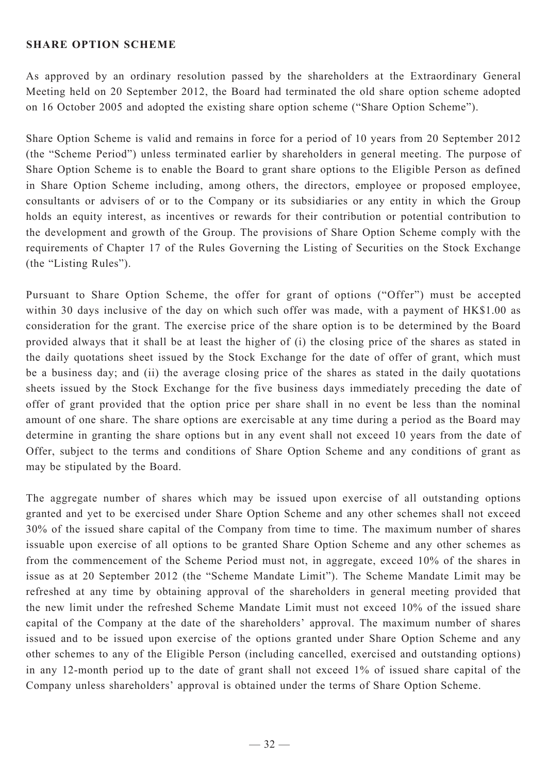#### **SHARE OPTION SCHEME**

As approved by an ordinary resolution passed by the shareholders at the Extraordinary General Meeting held on 20 September 2012, the Board had terminated the old share option scheme adopted on 16 October 2005 and adopted the existing share option scheme ("Share Option Scheme").

Share Option Scheme is valid and remains in force for a period of 10 years from 20 September 2012 (the "Scheme Period") unless terminated earlier by shareholders in general meeting. The purpose of Share Option Scheme is to enable the Board to grant share options to the Eligible Person as defined in Share Option Scheme including, among others, the directors, employee or proposed employee, consultants or advisers of or to the Company or its subsidiaries or any entity in which the Group holds an equity interest, as incentives or rewards for their contribution or potential contribution to the development and growth of the Group. The provisions of Share Option Scheme comply with the requirements of Chapter 17 of the Rules Governing the Listing of Securities on the Stock Exchange (the "Listing Rules").

Pursuant to Share Option Scheme, the offer for grant of options ("Offer") must be accepted within 30 days inclusive of the day on which such offer was made, with a payment of HK\$1.00 as consideration for the grant. The exercise price of the share option is to be determined by the Board provided always that it shall be at least the higher of (i) the closing price of the shares as stated in the daily quotations sheet issued by the Stock Exchange for the date of offer of grant, which must be a business day; and (ii) the average closing price of the shares as stated in the daily quotations sheets issued by the Stock Exchange for the five business days immediately preceding the date of offer of grant provided that the option price per share shall in no event be less than the nominal amount of one share. The share options are exercisable at any time during a period as the Board may determine in granting the share options but in any event shall not exceed 10 years from the date of Offer, subject to the terms and conditions of Share Option Scheme and any conditions of grant as may be stipulated by the Board.

The aggregate number of shares which may be issued upon exercise of all outstanding options granted and yet to be exercised under Share Option Scheme and any other schemes shall not exceed 30% of the issued share capital of the Company from time to time. The maximum number of shares issuable upon exercise of all options to be granted Share Option Scheme and any other schemes as from the commencement of the Scheme Period must not, in aggregate, exceed 10% of the shares in issue as at 20 September 2012 (the "Scheme Mandate Limit"). The Scheme Mandate Limit may be refreshed at any time by obtaining approval of the shareholders in general meeting provided that the new limit under the refreshed Scheme Mandate Limit must not exceed 10% of the issued share capital of the Company at the date of the shareholders' approval. The maximum number of shares issued and to be issued upon exercise of the options granted under Share Option Scheme and any other schemes to any of the Eligible Person (including cancelled, exercised and outstanding options) in any 12-month period up to the date of grant shall not exceed 1% of issued share capital of the Company unless shareholders' approval is obtained under the terms of Share Option Scheme.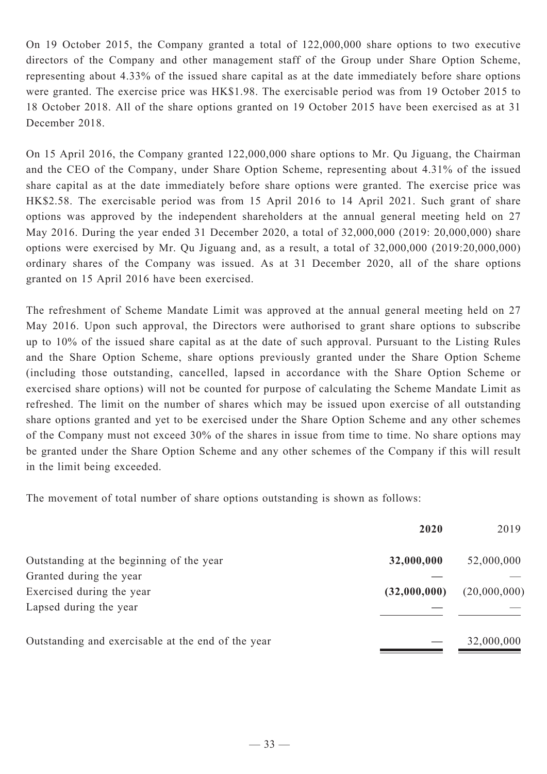On 19 October 2015, the Company granted a total of 122,000,000 share options to two executive directors of the Company and other management staff of the Group under Share Option Scheme, representing about 4.33% of the issued share capital as at the date immediately before share options were granted. The exercise price was HK\$1.98. The exercisable period was from 19 October 2015 to 18 October 2018. All of the share options granted on 19 October 2015 have been exercised as at 31 December 2018.

On 15 April 2016, the Company granted 122,000,000 share options to Mr. Qu Jiguang, the Chairman and the CEO of the Company, under Share Option Scheme, representing about 4.31% of the issued share capital as at the date immediately before share options were granted. The exercise price was HK\$2.58. The exercisable period was from 15 April 2016 to 14 April 2021. Such grant of share options was approved by the independent shareholders at the annual general meeting held on 27 May 2016. During the year ended 31 December 2020, a total of 32,000,000 (2019: 20,000,000) share options were exercised by Mr. Qu Jiguang and, as a result, a total of 32,000,000 (2019:20,000,000) ordinary shares of the Company was issued. As at 31 December 2020, all of the share options granted on 15 April 2016 have been exercised.

The refreshment of Scheme Mandate Limit was approved at the annual general meeting held on 27 May 2016. Upon such approval, the Directors were authorised to grant share options to subscribe up to 10% of the issued share capital as at the date of such approval. Pursuant to the Listing Rules and the Share Option Scheme, share options previously granted under the Share Option Scheme (including those outstanding, cancelled, lapsed in accordance with the Share Option Scheme or exercised share options) will not be counted for purpose of calculating the Scheme Mandate Limit as refreshed. The limit on the number of shares which may be issued upon exercise of all outstanding share options granted and yet to be exercised under the Share Option Scheme and any other schemes of the Company must not exceed 30% of the shares in issue from time to time. No share options may be granted under the Share Option Scheme and any other schemes of the Company if this will result in the limit being exceeded.

The movement of total number of share options outstanding is shown as follows:

|                                                    | 2020         | 2019         |
|----------------------------------------------------|--------------|--------------|
| Outstanding at the beginning of the year           | 32,000,000   | 52,000,000   |
| Granted during the year                            |              |              |
| Exercised during the year                          | (32,000,000) | (20,000,000) |
| Lapsed during the year                             |              |              |
| Outstanding and exercisable at the end of the year |              | 32,000,000   |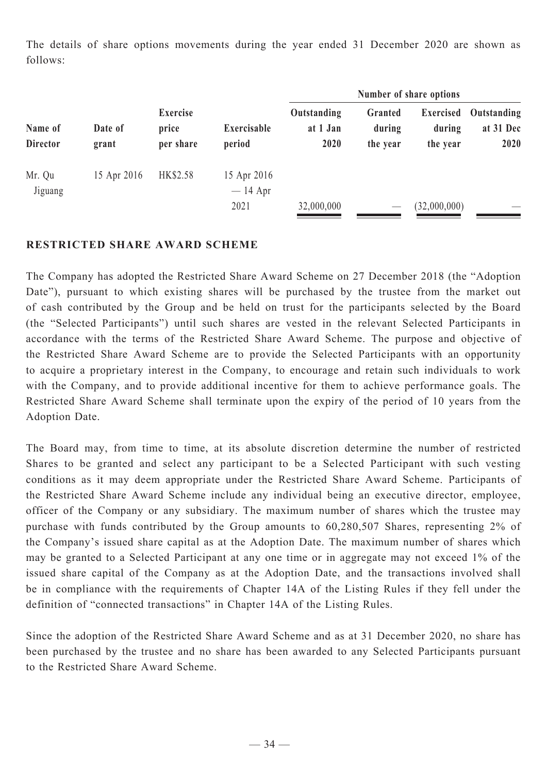The details of share options movements during the year ended 31 December 2020 are shown as follows:

|                            |                  |                                |                                  |                                 |                               | Number of share options         |                                  |
|----------------------------|------------------|--------------------------------|----------------------------------|---------------------------------|-------------------------------|---------------------------------|----------------------------------|
| Name of<br><b>Director</b> | Date of<br>grant | Exercise<br>price<br>per share | Exercisable<br>period            | Outstanding<br>at 1 Jan<br>2020 | Granted<br>during<br>the year | Exercised<br>during<br>the year | Outstanding<br>at 31 Dec<br>2020 |
| Mr. Qu<br>Jiguang          | 15 Apr 2016      | HK\$2.58                       | 15 Apr 2016<br>$-14$ Apr<br>2021 | 32,000,000                      |                               | (32,000,000)                    |                                  |

### **RESTRICTED SHARE AWARD SCHEME**

The Company has adopted the Restricted Share Award Scheme on 27 December 2018 (the "Adoption Date"), pursuant to which existing shares will be purchased by the trustee from the market out of cash contributed by the Group and be held on trust for the participants selected by the Board (the "Selected Participants") until such shares are vested in the relevant Selected Participants in accordance with the terms of the Restricted Share Award Scheme. The purpose and objective of the Restricted Share Award Scheme are to provide the Selected Participants with an opportunity to acquire a proprietary interest in the Company, to encourage and retain such individuals to work with the Company, and to provide additional incentive for them to achieve performance goals. The Restricted Share Award Scheme shall terminate upon the expiry of the period of 10 years from the Adoption Date.

The Board may, from time to time, at its absolute discretion determine the number of restricted Shares to be granted and select any participant to be a Selected Participant with such vesting conditions as it may deem appropriate under the Restricted Share Award Scheme. Participants of the Restricted Share Award Scheme include any individual being an executive director, employee, officer of the Company or any subsidiary. The maximum number of shares which the trustee may purchase with funds contributed by the Group amounts to 60,280,507 Shares, representing 2% of the Company's issued share capital as at the Adoption Date. The maximum number of shares which may be granted to a Selected Participant at any one time or in aggregate may not exceed 1% of the issued share capital of the Company as at the Adoption Date, and the transactions involved shall be in compliance with the requirements of Chapter 14A of the Listing Rules if they fell under the definition of "connected transactions" in Chapter 14A of the Listing Rules.

Since the adoption of the Restricted Share Award Scheme and as at 31 December 2020, no share has been purchased by the trustee and no share has been awarded to any Selected Participants pursuant to the Restricted Share Award Scheme.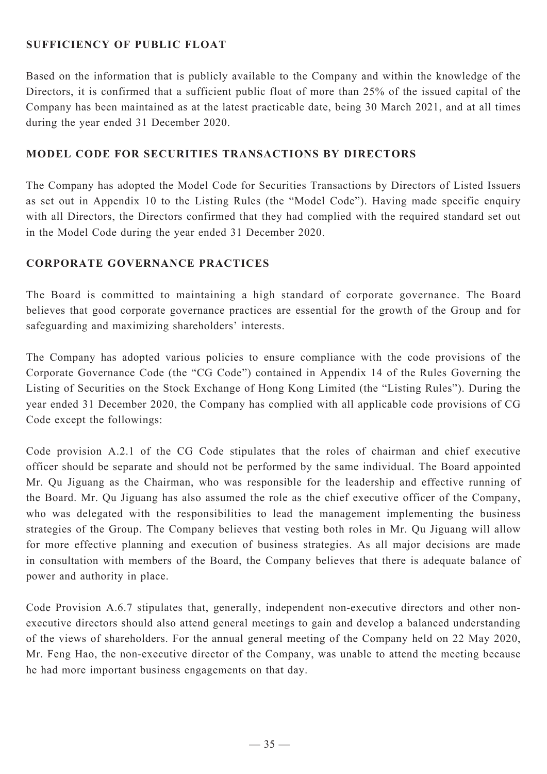### **SUFFICIENCY OF PUBLIC FLOAT**

Based on the information that is publicly available to the Company and within the knowledge of the Directors, it is confirmed that a sufficient public float of more than 25% of the issued capital of the Company has been maintained as at the latest practicable date, being 30 March 2021, and at all times during the year ended 31 December 2020.

### **Model Code for Securities Transactions by Directors**

The Company has adopted the Model Code for Securities Transactions by Directors of Listed Issuers as set out in Appendix 10 to the Listing Rules (the "Model Code"). Having made specific enquiry with all Directors, the Directors confirmed that they had complied with the required standard set out in the Model Code during the year ended 31 December 2020.

#### **Corporate Governance Practices**

The Board is committed to maintaining a high standard of corporate governance. The Board believes that good corporate governance practices are essential for the growth of the Group and for safeguarding and maximizing shareholders' interests.

The Company has adopted various policies to ensure compliance with the code provisions of the Corporate Governance Code (the "CG Code") contained in Appendix 14 of the Rules Governing the Listing of Securities on the Stock Exchange of Hong Kong Limited (the "Listing Rules"). During the year ended 31 December 2020, the Company has complied with all applicable code provisions of CG Code except the followings:

Code provision A.2.1 of the CG Code stipulates that the roles of chairman and chief executive officer should be separate and should not be performed by the same individual. The Board appointed Mr. Qu Jiguang as the Chairman, who was responsible for the leadership and effective running of the Board. Mr. Qu Jiguang has also assumed the role as the chief executive officer of the Company, who was delegated with the responsibilities to lead the management implementing the business strategies of the Group. The Company believes that vesting both roles in Mr. Qu Jiguang will allow for more effective planning and execution of business strategies. As all major decisions are made in consultation with members of the Board, the Company believes that there is adequate balance of power and authority in place.

Code Provision A.6.7 stipulates that, generally, independent non-executive directors and other nonexecutive directors should also attend general meetings to gain and develop a balanced understanding of the views of shareholders. For the annual general meeting of the Company held on 22 May 2020, Mr. Feng Hao, the non-executive director of the Company, was unable to attend the meeting because he had more important business engagements on that day.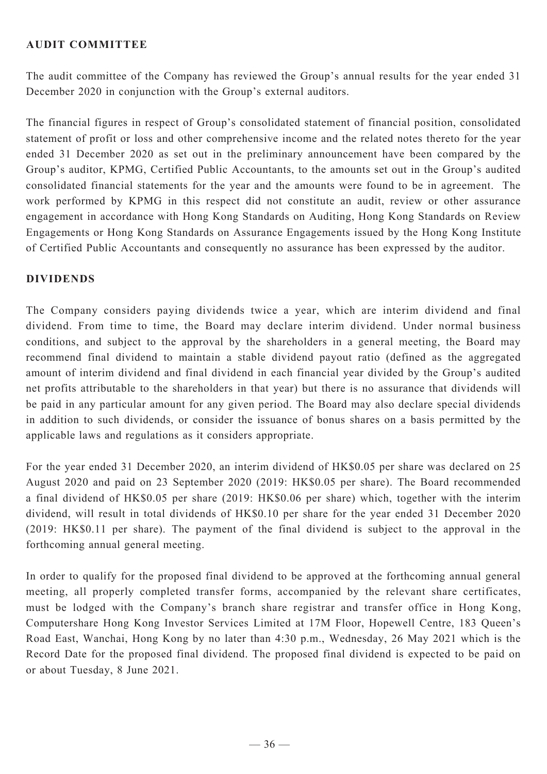### **AUDIT COMMITTEE**

The audit committee of the Company has reviewed the Group's annual results for the year ended 31 December 2020 in conjunction with the Group's external auditors.

The financial figures in respect of Group's consolidated statement of financial position, consolidated statement of profit or loss and other comprehensive income and the related notes thereto for the year ended 31 December 2020 as set out in the preliminary announcement have been compared by the Group's auditor, KPMG, Certified Public Accountants, to the amounts set out in the Group's audited consolidated financial statements for the year and the amounts were found to be in agreement. The work performed by KPMG in this respect did not constitute an audit, review or other assurance engagement in accordance with Hong Kong Standards on Auditing, Hong Kong Standards on Review Engagements or Hong Kong Standards on Assurance Engagements issued by the Hong Kong Institute of Certified Public Accountants and consequently no assurance has been expressed by the auditor.

#### **DIVIDENDS**

The Company considers paying dividends twice a year, which are interim dividend and final dividend. From time to time, the Board may declare interim dividend. Under normal business conditions, and subject to the approval by the shareholders in a general meeting, the Board may recommend final dividend to maintain a stable dividend payout ratio (defined as the aggregated amount of interim dividend and final dividend in each financial year divided by the Group's audited net profits attributable to the shareholders in that year) but there is no assurance that dividends will be paid in any particular amount for any given period. The Board may also declare special dividends in addition to such dividends, or consider the issuance of bonus shares on a basis permitted by the applicable laws and regulations as it considers appropriate.

For the year ended 31 December 2020, an interim dividend of HK\$0.05 per share was declared on 25 August 2020 and paid on 23 September 2020 (2019: HK\$0.05 per share). The Board recommended a final dividend of HK\$0.05 per share (2019: HK\$0.06 per share) which, together with the interim dividend, will result in total dividends of HK\$0.10 per share for the year ended 31 December 2020 (2019: HK\$0.11 per share). The payment of the final dividend is subject to the approval in the forthcoming annual general meeting.

In order to qualify for the proposed final dividend to be approved at the forthcoming annual general meeting, all properly completed transfer forms, accompanied by the relevant share certificates, must be lodged with the Company's branch share registrar and transfer office in Hong Kong, Computershare Hong Kong Investor Services Limited at 17M Floor, Hopewell Centre, 183 Queen's Road East, Wanchai, Hong Kong by no later than 4:30 p.m., Wednesday, 26 May 2021 which is the Record Date for the proposed final dividend. The proposed final dividend is expected to be paid on or about Tuesday, 8 June 2021.